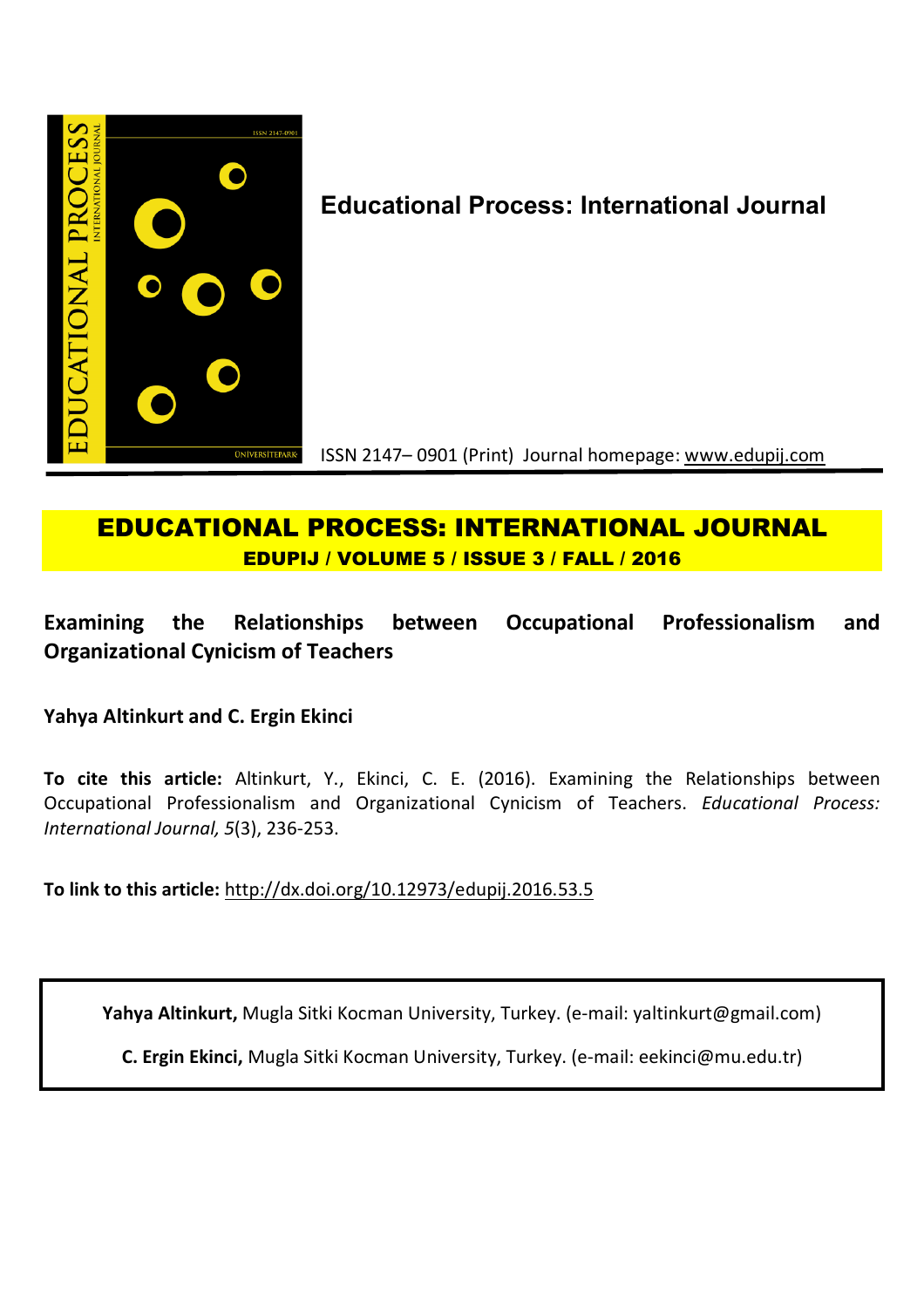

# **Educational Process: International Journal**

ISSN 2147– 0901 (Print) Journal homepage: www.edupij.com

## **EDUCATIONAL PROCESS: INTERNATIONAL JOURNAL EDUPIJ / VOLUME 5 / ISSUE 3 / FALL / 2016**

## **Examining the Relationships between Occupational Professionalism and Organizational Cynicism of Teachers**

**Yahya Altinkurt and C. Ergin Ekinci**

**To cite this article:** Altinkurt, Y., Ekinci, C. E. (2016). Examining the Relationships between Occupational Professionalism and Organizational Cynicism of Teachers. *Educational Process: International Journal, 5*(3), 236-253.

**To link to this article:** http://dx.doi.org/10.12973/edupij.2016.53.5

**Yahya Altinkurt,** Mugla Sitki Kocman University, Turkey. (e-mail: yaltinkurt@gmail.com)

**C. Ergin Ekinci,** Mugla Sitki Kocman University, Turkey. (e-mail: eekinci@mu.edu.tr)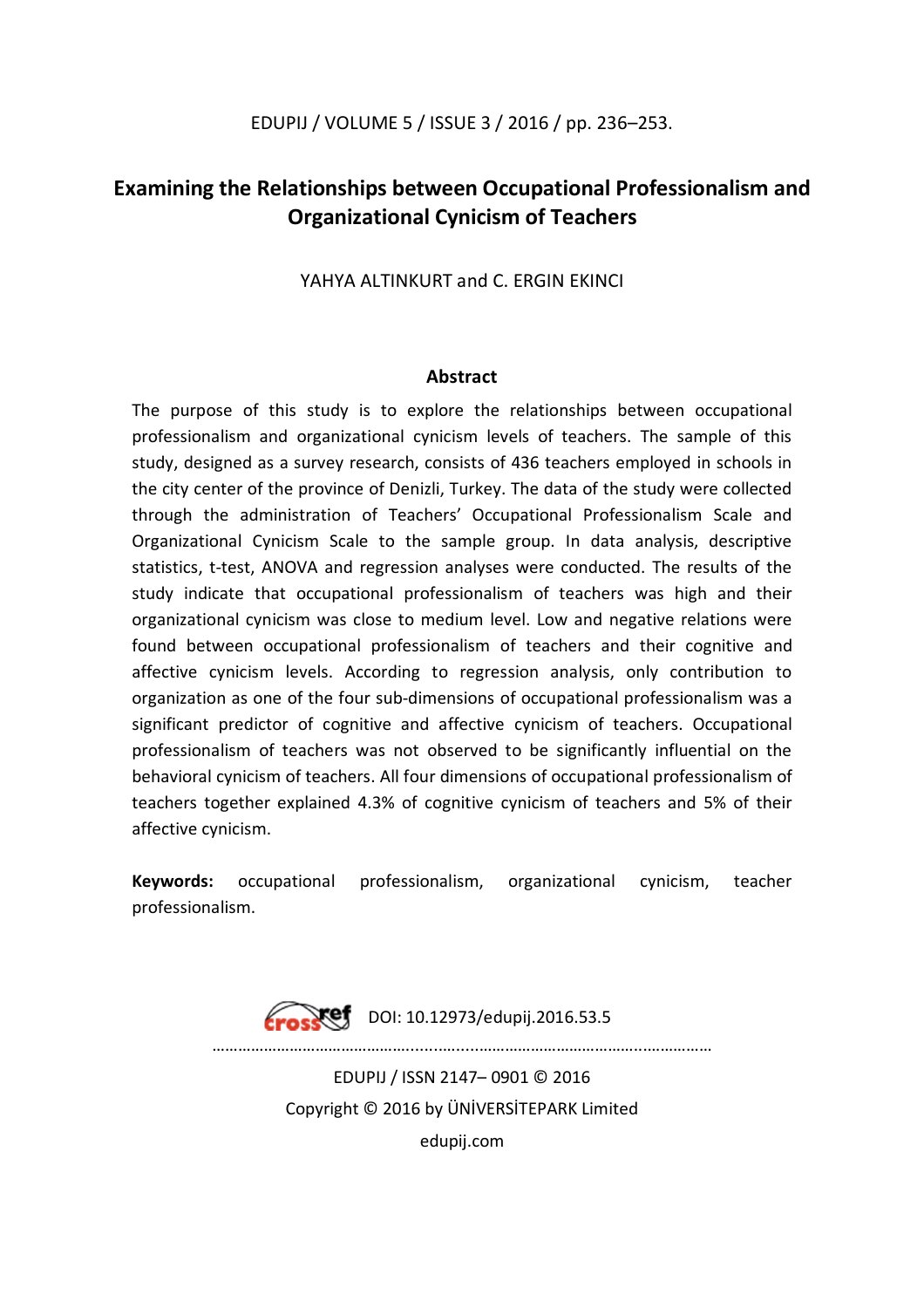## **Examining the Relationships between Occupational Professionalism and Organizational Cynicism of Teachers**

YAHYA ALTINKURT and C. ERGIN EKINCI

## **Abstract**

The purpose of this study is to explore the relationships between occupational professionalism and organizational cynicism levels of teachers. The sample of this study, designed as a survey research, consists of 436 teachers employed in schools in the city center of the province of Denizli, Turkey. The data of the study were collected through the administration of Teachers' Occupational Professionalism Scale and Organizational Cynicism Scale to the sample group. In data analysis, descriptive statistics, t-test, ANOVA and regression analyses were conducted. The results of the study indicate that occupational professionalism of teachers was high and their organizational cynicism was close to medium level. Low and negative relations were found between occupational professionalism of teachers and their cognitive and affective cynicism levels. According to regression analysis, only contribution to organization as one of the four sub-dimensions of occupational professionalism was a significant predictor of cognitive and affective cynicism of teachers. Occupational professionalism of teachers was not observed to be significantly influential on the behavioral cynicism of teachers. All four dimensions of occupational professionalism of teachers together explained 4.3% of cognitive cynicism of teachers and 5% of their affective cynicism.

**Keywords:** occupational professionalism, organizational cynicism, teacher professionalism.

> DOI: 10.12973/edupij.2016.53.5 ………………………………………........….....………………………………...…………… EDUPIJ / ISSN 2147– 0901 © 2016 Copyright © 2016 by ÜNİVERSİTEPARK Limited edupij.com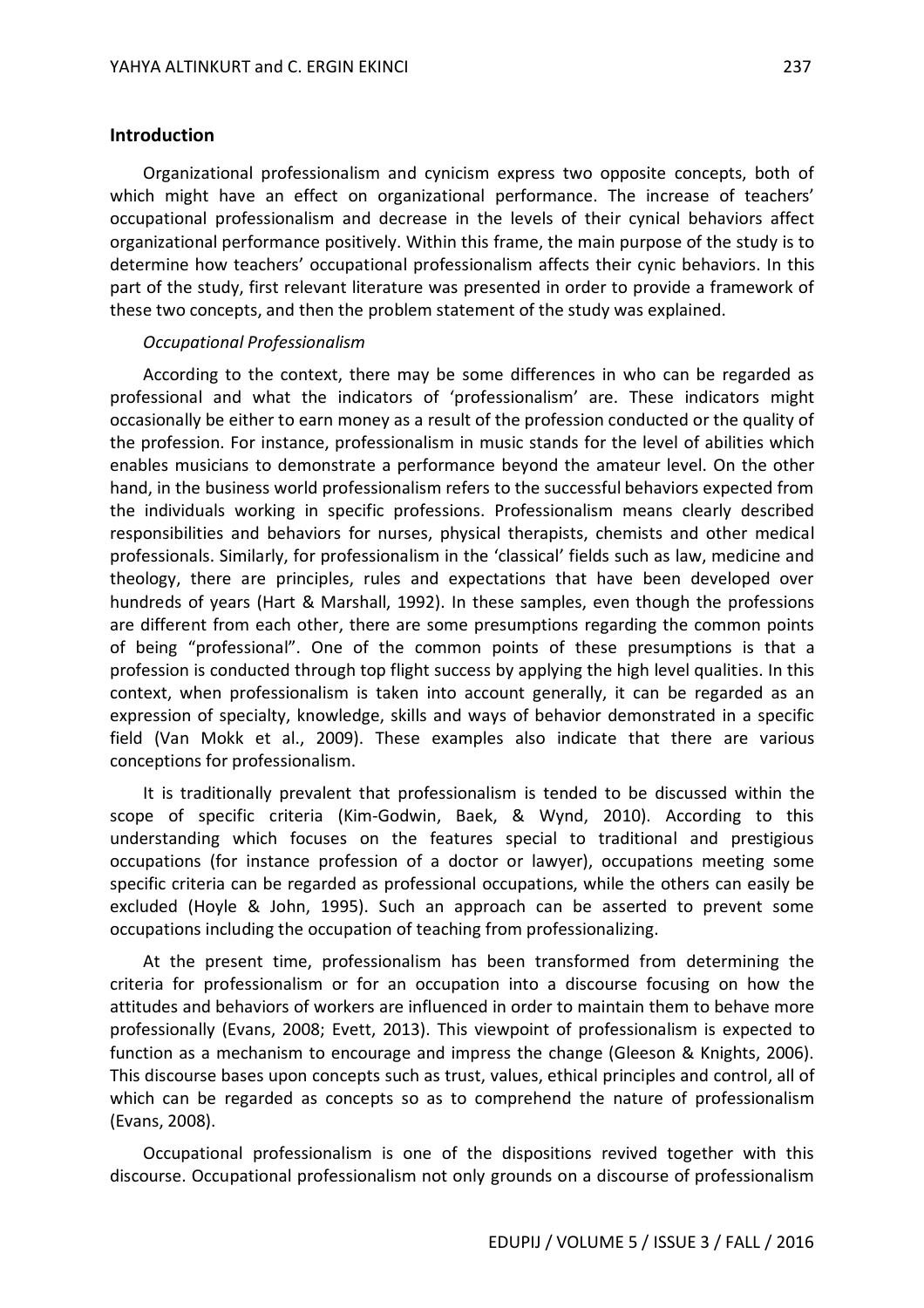#### **Introduction**

Organizational professionalism and cynicism express two opposite concepts, both of which might have an effect on organizational performance. The increase of teachers' occupational professionalism and decrease in the levels of their cynical behaviors affect organizational performance positively. Within this frame, the main purpose of the study is to determine how teachers' occupational professionalism affects their cynic behaviors. In this part of the study, first relevant literature was presented in order to provide a framework of these two concepts, and then the problem statement of the study was explained.

#### *Occupational Professionalism*

According to the context, there may be some differences in who can be regarded as professional and what the indicators of 'professionalism' are. These indicators might occasionally be either to earn money as a result of the profession conducted or the quality of the profession. For instance, professionalism in music stands for the level of abilities which enables musicians to demonstrate a performance beyond the amateur level. On the other hand, in the business world professionalism refers to the successful behaviors expected from the individuals working in specific professions. Professionalism means clearly described responsibilities and behaviors for nurses, physical therapists, chemists and other medical professionals. Similarly, for professionalism in the 'classical' fields such as law, medicine and theology, there are principles, rules and expectations that have been developed over hundreds of years (Hart & Marshall, 1992). In these samples, even though the professions are different from each other, there are some presumptions regarding the common points of being "professional". One of the common points of these presumptions is that a profession is conducted through top flight success by applying the high level qualities. In this context, when professionalism is taken into account generally, it can be regarded as an expression of specialty, knowledge, skills and ways of behavior demonstrated in a specific field (Van Mokk et al., 2009). These examples also indicate that there are various conceptions for professionalism.

It is traditionally prevalent that professionalism is tended to be discussed within the scope of specific criteria (Kim-Godwin, Baek, & Wynd, 2010). According to this understanding which focuses on the features special to traditional and prestigious occupations (for instance profession of a doctor or lawyer), occupations meeting some specific criteria can be regarded as professional occupations, while the others can easily be excluded (Hoyle & John, 1995). Such an approach can be asserted to prevent some occupations including the occupation of teaching from professionalizing.

At the present time, professionalism has been transformed from determining the criteria for professionalism or for an occupation into a discourse focusing on how the attitudes and behaviors of workers are influenced in order to maintain them to behave more professionally (Evans, 2008; Evett, 2013). This viewpoint of professionalism is expected to function as a mechanism to encourage and impress the change (Gleeson & Knights, 2006). This discourse bases upon concepts such as trust, values, ethical principles and control, all of which can be regarded as concepts so as to comprehend the nature of professionalism (Evans, 2008).

Occupational professionalism is one of the dispositions revived together with this discourse. Occupational professionalism not only grounds on a discourse of professionalism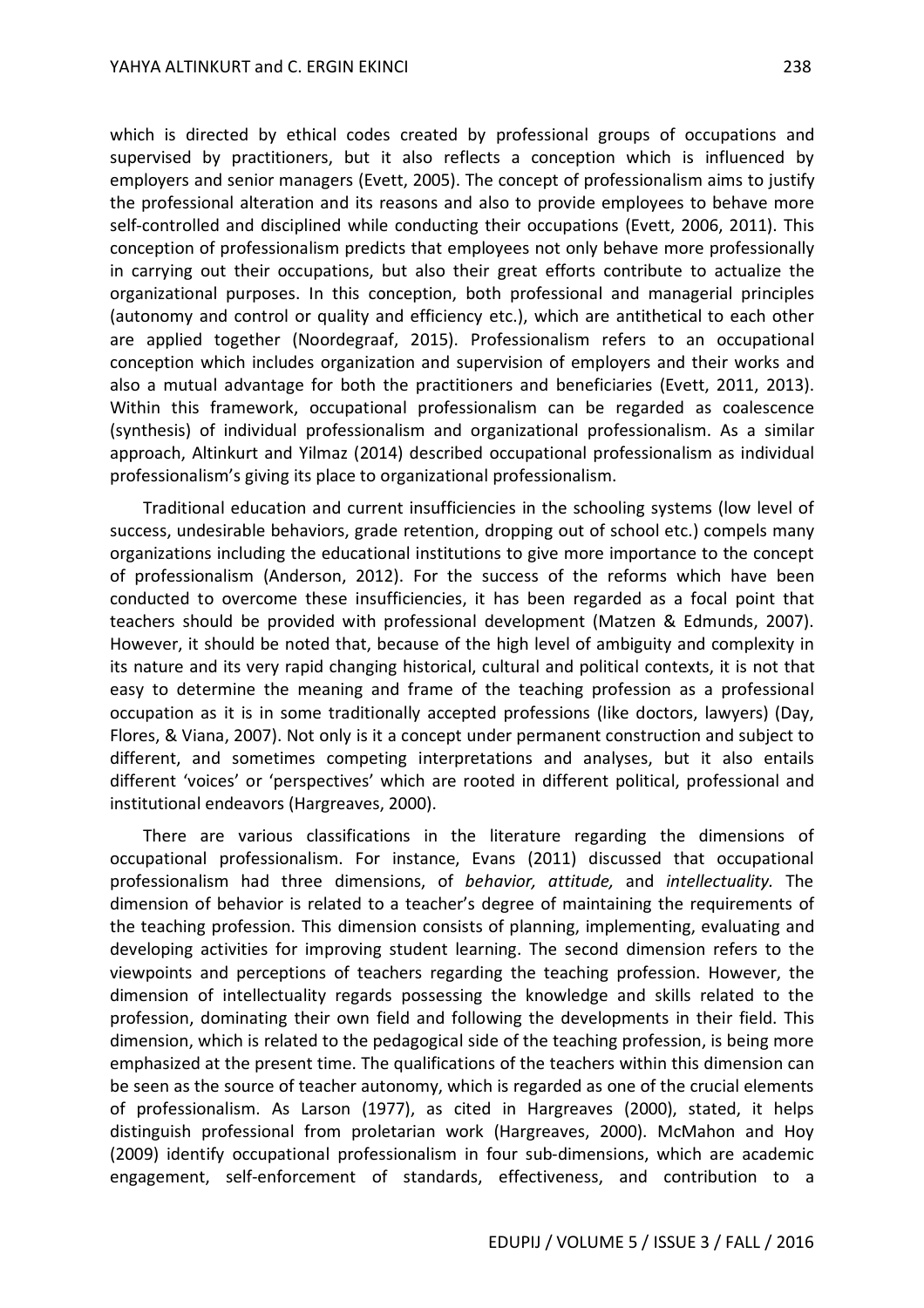which is directed by ethical codes created by professional groups of occupations and supervised by practitioners, but it also reflects a conception which is influenced by employers and senior managers (Evett, 2005). The concept of professionalism aims to justify the professional alteration and its reasons and also to provide employees to behave more self-controlled and disciplined while conducting their occupations (Evett, 2006, 2011). This conception of professionalism predicts that employees not only behave more professionally in carrying out their occupations, but also their great efforts contribute to actualize the organizational purposes. In this conception, both professional and managerial principles (autonomy and control or quality and efficiency etc.), which are antithetical to each other are applied together (Noordegraaf, 2015). Professionalism refers to an occupational conception which includes organization and supervision of employers and their works and also a mutual advantage for both the practitioners and beneficiaries (Evett, 2011, 2013). Within this framework, occupational professionalism can be regarded as coalescence (synthesis) of individual professionalism and organizational professionalism. As a similar approach, Altinkurt and Yilmaz (2014) described occupational professionalism as individual professionalism's giving its place to organizational professionalism.

Traditional education and current insufficiencies in the schooling systems (low level of success, undesirable behaviors, grade retention, dropping out of school etc.) compels many organizations including the educational institutions to give more importance to the concept of professionalism (Anderson, 2012). For the success of the reforms which have been conducted to overcome these insufficiencies, it has been regarded as a focal point that teachers should be provided with professional development (Matzen & Edmunds, 2007). However, it should be noted that, because of the high level of ambiguity and complexity in its nature and its very rapid changing historical, cultural and political contexts, it is not that easy to determine the meaning and frame of the teaching profession as a professional occupation as it is in some traditionally accepted professions (like doctors, lawyers) (Day, Flores, & Viana, 2007). Not only is it a concept under permanent construction and subject to different, and sometimes competing interpretations and analyses, but it also entails different 'voices' or 'perspectives' which are rooted in different political, professional and institutional endeavors (Hargreaves, 2000).

There are various classifications in the literature regarding the dimensions of occupational professionalism. For instance, Evans (2011) discussed that occupational professionalism had three dimensions, of *behavior, attitude,* and *intellectuality.* The dimension of behavior is related to a teacher's degree of maintaining the requirements of the teaching profession. This dimension consists of planning, implementing, evaluating and developing activities for improving student learning. The second dimension refers to the viewpoints and perceptions of teachers regarding the teaching profession. However, the dimension of intellectuality regards possessing the knowledge and skills related to the profession, dominating their own field and following the developments in their field. This dimension, which is related to the pedagogical side of the teaching profession, is being more emphasized at the present time. The qualifications of the teachers within this dimension can be seen as the source of teacher autonomy, which is regarded as one of the crucial elements of professionalism. As Larson (1977), as cited in Hargreaves (2000), stated, it helps distinguish professional from proletarian work (Hargreaves, 2000). McMahon and Hoy (2009) identify occupational professionalism in four sub-dimensions, which are academic engagement, self-enforcement of standards, effectiveness, and contribution to a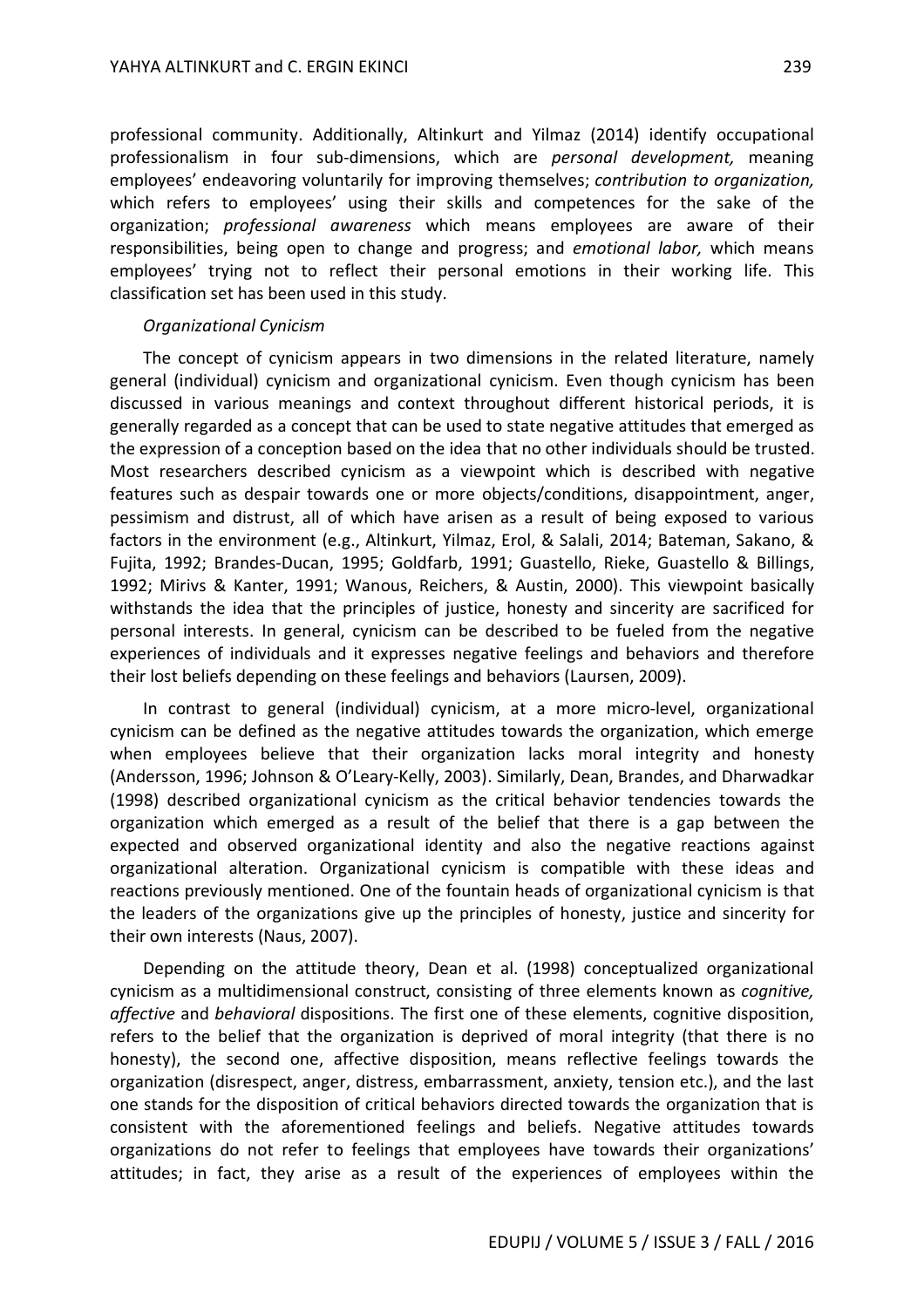professional community. Additionally, Altinkurt and Yilmaz (2014) identify occupational professionalism in four sub-dimensions, which are *personal development,* meaning employees' endeavoring voluntarily for improving themselves; *contribution to organization,*  which refers to employees' using their skills and competences for the sake of the organization; *professional awareness* which means employees are aware of their responsibilities, being open to change and progress; and *emotional labor,* which means employees' trying not to reflect their personal emotions in their working life. This classification set has been used in this study.

#### *Organizational Cynicism*

The concept of cynicism appears in two dimensions in the related literature, namely general (individual) cynicism and organizational cynicism. Even though cynicism has been discussed in various meanings and context throughout different historical periods, it is generally regarded as a concept that can be used to state negative attitudes that emerged as the expression of a conception based on the idea that no other individuals should be trusted. Most researchers described cynicism as a viewpoint which is described with negative features such as despair towards one or more objects/conditions, disappointment, anger, pessimism and distrust, all of which have arisen as a result of being exposed to various factors in the environment (e.g., Altinkurt, Yilmaz, Erol, & Salali, 2014; Bateman, Sakano, & Fujita, 1992; Brandes-Ducan, 1995; Goldfarb, 1991; Guastello, Rieke, Guastello & Billings, 1992; Mirivs & Kanter, 1991; Wanous, Reichers, & Austin, 2000). This viewpoint basically withstands the idea that the principles of justice, honesty and sincerity are sacrificed for personal interests. In general, cynicism can be described to be fueled from the negative experiences of individuals and it expresses negative feelings and behaviors and therefore their lost beliefs depending on these feelings and behaviors (Laursen, 2009).

In contrast to general (individual) cynicism, at a more micro-level, organizational cynicism can be defined as the negative attitudes towards the organization, which emerge when employees believe that their organization lacks moral integrity and honesty (Andersson, 1996; Johnson & O'Leary-Kelly, 2003). Similarly, Dean, Brandes, and Dharwadkar (1998) described organizational cynicism as the critical behavior tendencies towards the organization which emerged as a result of the belief that there is a gap between the expected and observed organizational identity and also the negative reactions against organizational alteration. Organizational cynicism is compatible with these ideas and reactions previously mentioned. One of the fountain heads of organizational cynicism is that the leaders of the organizations give up the principles of honesty, justice and sincerity for their own interests (Naus, 2007).

Depending on the attitude theory, Dean et al. (1998) conceptualized organizational cynicism as a multidimensional construct, consisting of three elements known as *cognitive, affective* and *behavioral* dispositions. The first one of these elements, cognitive disposition, refers to the belief that the organization is deprived of moral integrity (that there is no honesty), the second one, affective disposition, means reflective feelings towards the organization (disrespect, anger, distress, embarrassment, anxiety, tension etc.), and the last one stands for the disposition of critical behaviors directed towards the organization that is consistent with the aforementioned feelings and beliefs. Negative attitudes towards organizations do not refer to feelings that employees have towards their organizations' attitudes; in fact, they arise as a result of the experiences of employees within the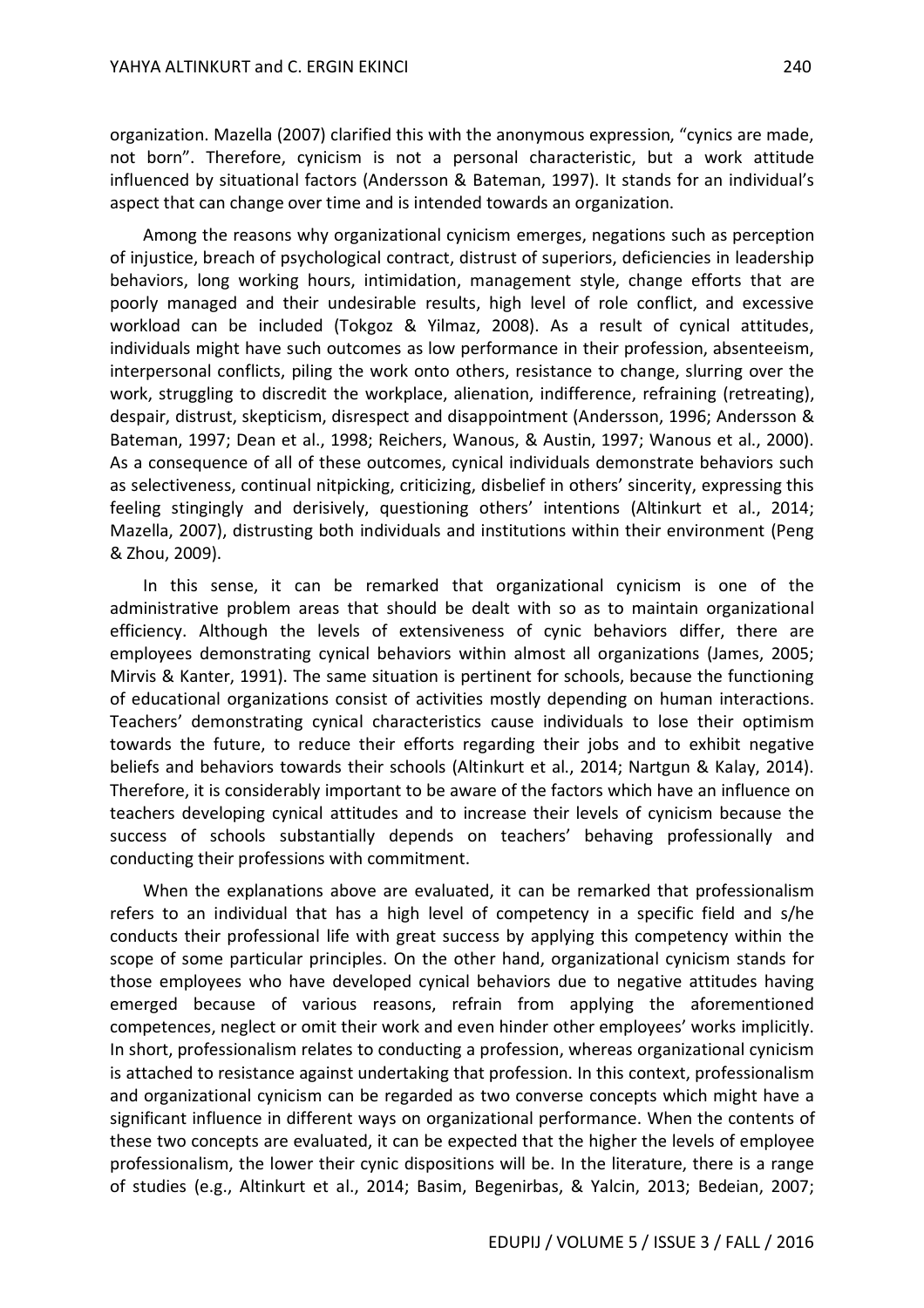organization. Mazella (2007) clarified this with the anonymous expression, "cynics are made, not born". Therefore, cynicism is not a personal characteristic, but a work attitude influenced by situational factors (Andersson & Bateman, 1997). It stands for an individual's aspect that can change over time and is intended towards an organization.

Among the reasons why organizational cynicism emerges, negations such as perception of injustice, breach of psychological contract, distrust of superiors, deficiencies in leadership behaviors, long working hours, intimidation, management style, change efforts that are poorly managed and their undesirable results, high level of role conflict, and excessive workload can be included (Tokgoz & Yilmaz, 2008). As a result of cynical attitudes, individuals might have such outcomes as low performance in their profession, absenteeism, interpersonal conflicts, piling the work onto others, resistance to change, slurring over the work, struggling to discredit the workplace, alienation, indifference, refraining (retreating), despair, distrust, skepticism, disrespect and disappointment (Andersson, 1996; Andersson & Bateman, 1997; Dean et al., 1998; Reichers, Wanous, & Austin, 1997; Wanous et al., 2000). As a consequence of all of these outcomes, cynical individuals demonstrate behaviors such as selectiveness, continual nitpicking, criticizing, disbelief in others' sincerity, expressing this feeling stingingly and derisively, questioning others' intentions (Altinkurt et al., 2014; Mazella, 2007), distrusting both individuals and institutions within their environment (Peng & Zhou, 2009).

In this sense, it can be remarked that organizational cynicism is one of the administrative problem areas that should be dealt with so as to maintain organizational efficiency. Although the levels of extensiveness of cynic behaviors differ, there are employees demonstrating cynical behaviors within almost all organizations (James, 2005; Mirvis & Kanter, 1991). The same situation is pertinent for schools, because the functioning of educational organizations consist of activities mostly depending on human interactions. Teachers' demonstrating cynical characteristics cause individuals to lose their optimism towards the future, to reduce their efforts regarding their jobs and to exhibit negative beliefs and behaviors towards their schools (Altinkurt et al., 2014; Nartgun & Kalay, 2014). Therefore, it is considerably important to be aware of the factors which have an influence on teachers developing cynical attitudes and to increase their levels of cynicism because the success of schools substantially depends on teachers' behaving professionally and conducting their professions with commitment.

When the explanations above are evaluated, it can be remarked that professionalism refers to an individual that has a high level of competency in a specific field and s/he conducts their professional life with great success by applying this competency within the scope of some particular principles. On the other hand, organizational cynicism stands for those employees who have developed cynical behaviors due to negative attitudes having emerged because of various reasons, refrain from applying the aforementioned competences, neglect or omit their work and even hinder other employees' works implicitly. In short, professionalism relates to conducting a profession, whereas organizational cynicism is attached to resistance against undertaking that profession. In this context, professionalism and organizational cynicism can be regarded as two converse concepts which might have a significant influence in different ways on organizational performance. When the contents of these two concepts are evaluated, it can be expected that the higher the levels of employee professionalism, the lower their cynic dispositions will be. In the literature, there is a range of studies (e.g., Altinkurt et al., 2014; Basim, Begenirbas, & Yalcin, 2013; Bedeian, 2007;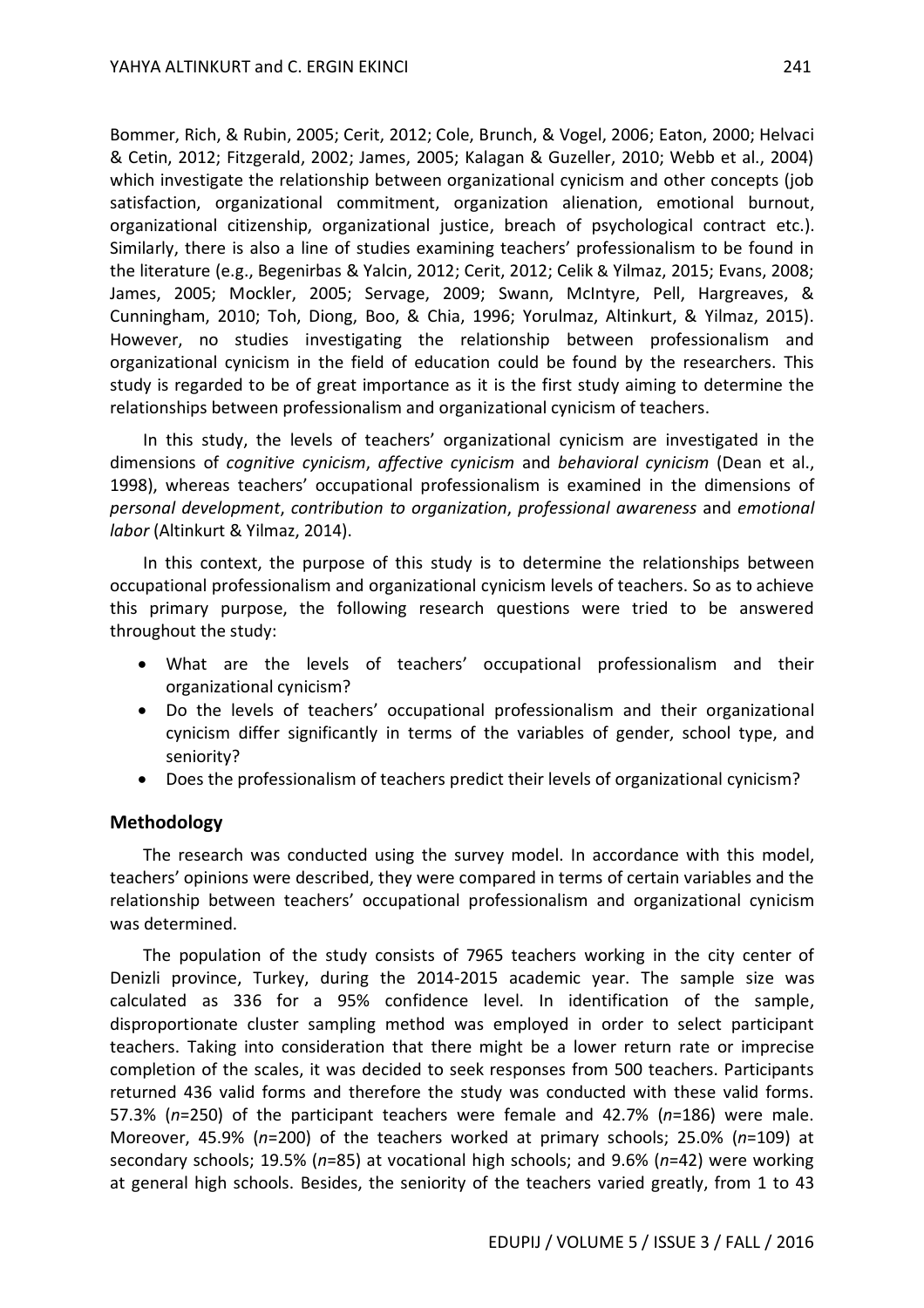Bommer, Rich, & Rubin, 2005; Cerit, 2012; Cole, Brunch, & Vogel, 2006; Eaton, 2000; Helvaci & Cetin, 2012; Fitzgerald, 2002; James, 2005; Kalagan & Guzeller, 2010; Webb et al., 2004) which investigate the relationship between organizational cynicism and other concepts (job satisfaction, organizational commitment, organization alienation, emotional burnout, organizational citizenship, organizational justice, breach of psychological contract etc.). Similarly, there is also a line of studies examining teachers' professionalism to be found in the literature (e.g., Begenirbas & Yalcin, 2012; Cerit, 2012; Celik & Yilmaz, 2015; Evans, 2008; James, 2005; Mockler, 2005; Servage, 2009; Swann, McIntyre, Pell, Hargreaves, & Cunningham, 2010; Toh, Diong, Boo, & Chia, 1996; Yorulmaz, Altinkurt, & Yilmaz, 2015). However, no studies investigating the relationship between professionalism and organizational cynicism in the field of education could be found by the researchers. This study is regarded to be of great importance as it is the first study aiming to determine the relationships between professionalism and organizational cynicism of teachers.

In this study, the levels of teachers' organizational cynicism are investigated in the dimensions of *cognitive cynicism*, *affective cynicism* and *behavioral cynicism* (Dean et al., 1998), whereas teachers' occupational professionalism is examined in the dimensions of *personal development*, *contribution to organization*, *professional awareness* and *emotional labor* (Altinkurt & Yilmaz, 2014).

In this context, the purpose of this study is to determine the relationships between occupational professionalism and organizational cynicism levels of teachers. So as to achieve this primary purpose, the following research questions were tried to be answered throughout the study:

- What are the levels of teachers' occupational professionalism and their organizational cynicism?
- Do the levels of teachers' occupational professionalism and their organizational cynicism differ significantly in terms of the variables of gender, school type, and seniority?
- Does the professionalism of teachers predict their levels of organizational cynicism?

## **Methodology**

The research was conducted using the survey model. In accordance with this model, teachers' opinions were described, they were compared in terms of certain variables and the relationship between teachers' occupational professionalism and organizational cynicism was determined.

The population of the study consists of 7965 teachers working in the city center of Denizli province, Turkey, during the 2014-2015 academic year. The sample size was calculated as 336 for a 95% confidence level. In identification of the sample, disproportionate cluster sampling method was employed in order to select participant teachers. Taking into consideration that there might be a lower return rate or imprecise completion of the scales, it was decided to seek responses from 500 teachers. Participants returned 436 valid forms and therefore the study was conducted with these valid forms. 57.3% (*n*=250) of the participant teachers were female and 42.7% (*n*=186) were male. Moreover, 45.9% (*n*=200) of the teachers worked at primary schools; 25.0% (*n*=109) at secondary schools; 19.5% (*n*=85) at vocational high schools; and 9.6% (*n*=42) were working at general high schools. Besides, the seniority of the teachers varied greatly, from 1 to 43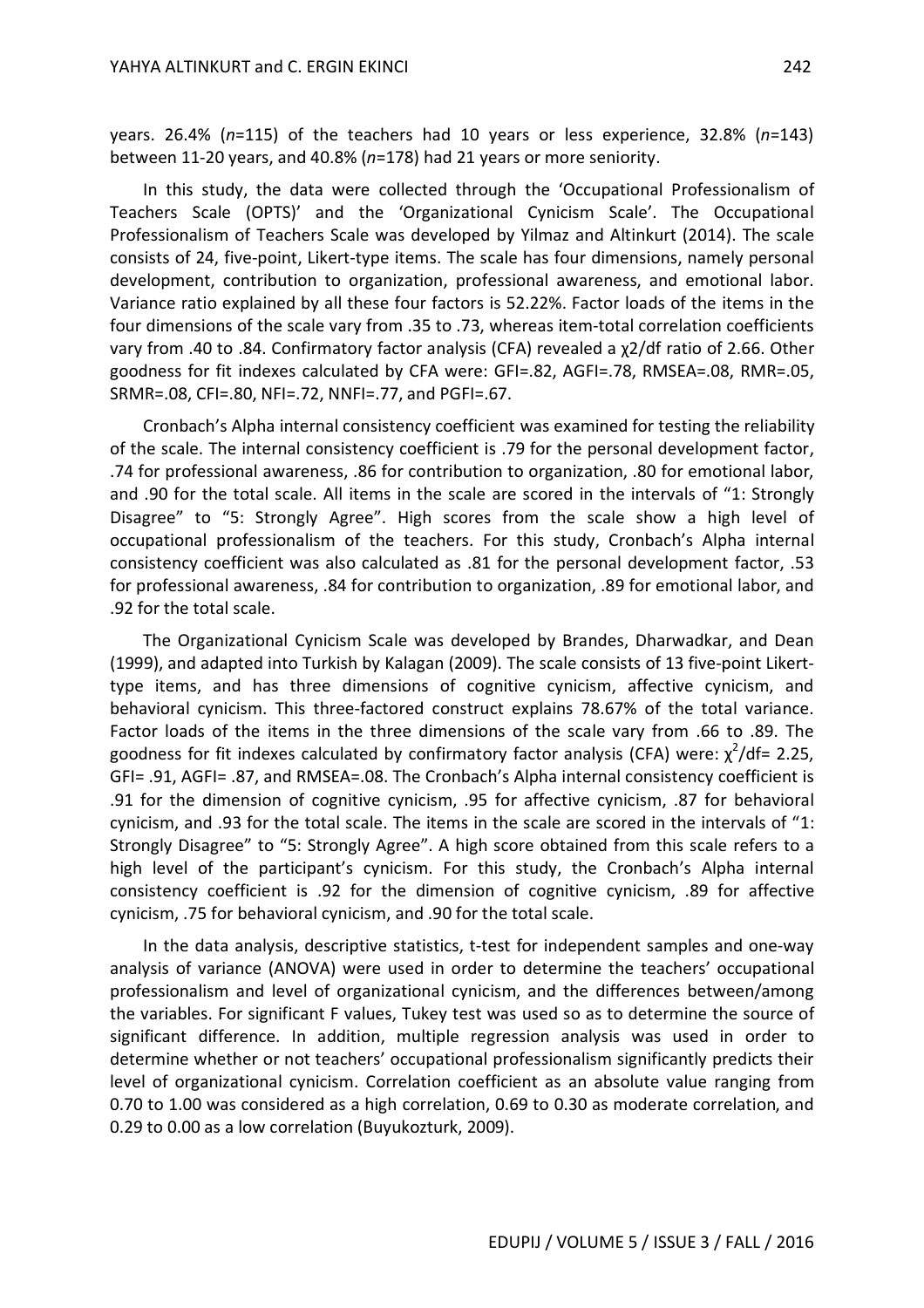years. 26.4% (*n*=115) of the teachers had 10 years or less experience, 32.8% (*n*=143) between 11-20 years, and 40.8% (*n*=178) had 21 years or more seniority.

In this study, the data were collected through the 'Occupational Professionalism of Teachers Scale (OPTS)' and the 'Organizational Cynicism Scale'. The Occupational Professionalism of Teachers Scale was developed by Yilmaz and Altinkurt (2014). The scale consists of 24, five-point, Likert-type items. The scale has four dimensions, namely personal development, contribution to organization, professional awareness, and emotional labor. Variance ratio explained by all these four factors is 52.22%. Factor loads of the items in the four dimensions of the scale vary from .35 to .73, whereas item-total correlation coefficients vary from .40 to .84. Confirmatory factor analysis (CFA) revealed a χ2/df ratio of 2.66. Other goodness for fit indexes calculated by CFA were: GFI=.82, AGFI=.78, RMSEA=.08, RMR=.05, SRMR=.08, CFI=.80, NFI=.72, NNFI=.77, and PGFI=.67.

Cronbach's Alpha internal consistency coefficient was examined for testing the reliability of the scale. The internal consistency coefficient is .79 for the personal development factor, .74 for professional awareness, .86 for contribution to organization, .80 for emotional labor, and .90 for the total scale. All items in the scale are scored in the intervals of "1: Strongly Disagree" to "5: Strongly Agree". High scores from the scale show a high level of occupational professionalism of the teachers. For this study, Cronbach's Alpha internal consistency coefficient was also calculated as .81 for the personal development factor, .53 for professional awareness, .84 for contribution to organization, .89 for emotional labor, and .92 for the total scale.

The Organizational Cynicism Scale was developed by Brandes, Dharwadkar, and Dean (1999), and adapted into Turkish by Kalagan (2009). The scale consists of 13 five-point Likerttype items, and has three dimensions of cognitive cynicism, affective cynicism, and behavioral cynicism. This three-factored construct explains 78.67% of the total variance. Factor loads of the items in the three dimensions of the scale vary from .66 to .89. The goodness for fit indexes calculated by confirmatory factor analysis (CFA) were:  $\chi^2$ /df= 2.25, GFI= .91, AGFI= .87, and RMSEA=.08. The Cronbach's Alpha internal consistency coefficient is .91 for the dimension of cognitive cynicism, .95 for affective cynicism, .87 for behavioral cynicism, and .93 for the total scale. The items in the scale are scored in the intervals of "1: Strongly Disagree" to "5: Strongly Agree". A high score obtained from this scale refers to a high level of the participant's cynicism. For this study, the Cronbach's Alpha internal consistency coefficient is .92 for the dimension of cognitive cynicism, .89 for affective cynicism, .75 for behavioral cynicism, and .90 for the total scale.

In the data analysis, descriptive statistics, t-test for independent samples and one-way analysis of variance (ANOVA) were used in order to determine the teachers' occupational professionalism and level of organizational cynicism, and the differences between/among the variables. For significant F values, Tukey test was used so as to determine the source of significant difference. In addition, multiple regression analysis was used in order to determine whether or not teachers' occupational professionalism significantly predicts their level of organizational cynicism. Correlation coefficient as an absolute value ranging from 0.70 to 1.00 was considered as a high correlation, 0.69 to 0.30 as moderate correlation, and 0.29 to 0.00 as a low correlation (Buyukozturk, 2009).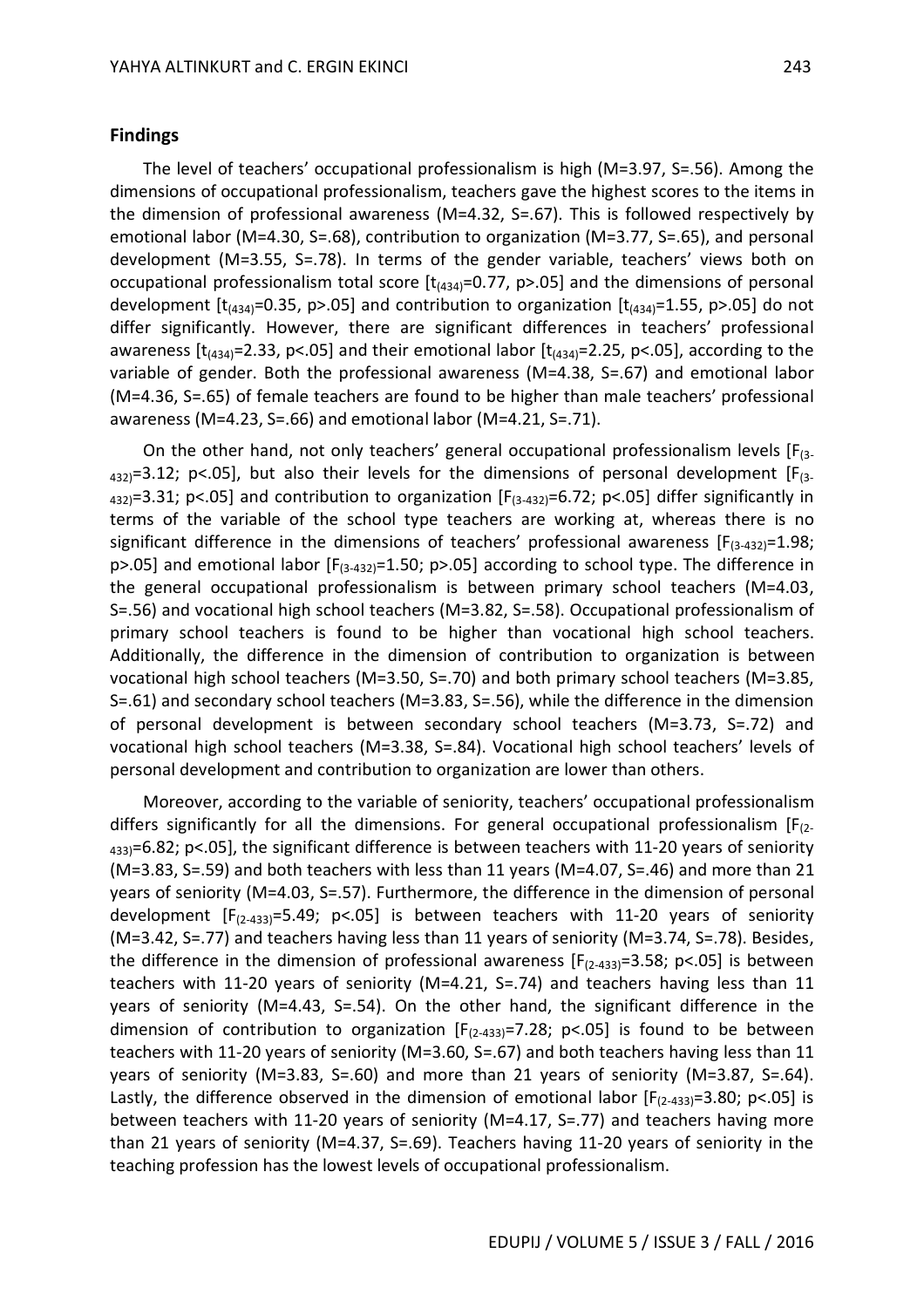#### **Findings**

The level of teachers' occupational professionalism is high (M=3.97, S=.56). Among the dimensions of occupational professionalism, teachers gave the highest scores to the items in the dimension of professional awareness (M=4.32, S=.67). This is followed respectively by emotional labor (M=4.30, S=.68), contribution to organization (M=3.77, S=.65), and personal development (M=3.55, S=.78). In terms of the gender variable, teachers' views both on occupational professionalism total score  $[t<sub>434</sub>=0.77, p>0.05]$  and the dimensions of personal development  $[t_{(434)}=0.35, p>0.05]$  and contribution to organization  $[t_{(434)}=1.55, p>0.05]$  do not differ significantly. However, there are significant differences in teachers' professional awareness  $[t_{(434)}=2.33, p<0.05]$  and their emotional labor  $[t_{(434)}=2.25, p<0.05]$ , according to the variable of gender. Both the professional awareness (M=4.38, S=.67) and emotional labor (M=4.36, S=.65) of female teachers are found to be higher than male teachers' professional awareness (M=4.23, S=.66) and emotional labor (M=4.21, S=.71).

On the other hand, not only teachers' general occupational professionalism levels  $[F_{(3-1)}]$  $_{432}$ =3.12; p<.05], but also their levels for the dimensions of personal development [F<sub>(3-</sub>  $_{432}$ =3.31; p<.05] and contribution to organization [F<sub>(3-432)</sub>=6.72; p<.05] differ significantly in terms of the variable of the school type teachers are working at, whereas there is no significant difference in the dimensions of teachers' professional awareness  $[F_{(3-432)}=1.98;$  $p$ >.05] and emotional labor [F<sub>(3-432)</sub>=1.50;  $p$ >.05] according to school type. The difference in the general occupational professionalism is between primary school teachers (M=4.03, S=.56) and vocational high school teachers (M=3.82, S=.58). Occupational professionalism of primary school teachers is found to be higher than vocational high school teachers. Additionally, the difference in the dimension of contribution to organization is between vocational high school teachers (M=3.50, S=.70) and both primary school teachers (M=3.85, S=.61) and secondary school teachers (M=3.83, S=.56), while the difference in the dimension of personal development is between secondary school teachers (M=3.73, S=.72) and vocational high school teachers (M=3.38, S=.84). Vocational high school teachers' levels of personal development and contribution to organization are lower than others.

Moreover, according to the variable of seniority, teachers' occupational professionalism differs significantly for all the dimensions. For general occupational professionalism  $[F_{(2-1)}]$  $_{433}$ =6.82; p<.05], the significant difference is between teachers with 11-20 years of seniority (M=3.83, S=.59) and both teachers with less than 11 years (M=4.07, S=.46) and more than 21 years of seniority (M=4.03, S=.57). Furthermore, the difference in the dimension of personal development  $[F_{(2-433)}=5.49; p<.05]$  is between teachers with 11-20 years of seniority (M=3.42, S=.77) and teachers having less than 11 years of seniority (M=3.74, S=.78). Besides, the difference in the dimension of professional awareness  $[F_{(2-433)}=3.58; p<.05]$  is between teachers with 11-20 years of seniority (M=4.21, S=.74) and teachers having less than 11 years of seniority (M=4.43, S=.54). On the other hand, the significant difference in the dimension of contribution to organization  $[F_{(2-433)}=7.28; p<.05]$  is found to be between teachers with 11-20 years of seniority (M=3.60, S=.67) and both teachers having less than 11 years of seniority (M=3.83, S=.60) and more than 21 years of seniority (M=3.87, S=.64). Lastly, the difference observed in the dimension of emotional labor  $[F_{(2-433)}=3.80; p<.05]$  is between teachers with 11-20 years of seniority (M=4.17, S=.77) and teachers having more than 21 years of seniority (M=4.37, S=.69). Teachers having 11-20 years of seniority in the teaching profession has the lowest levels of occupational professionalism.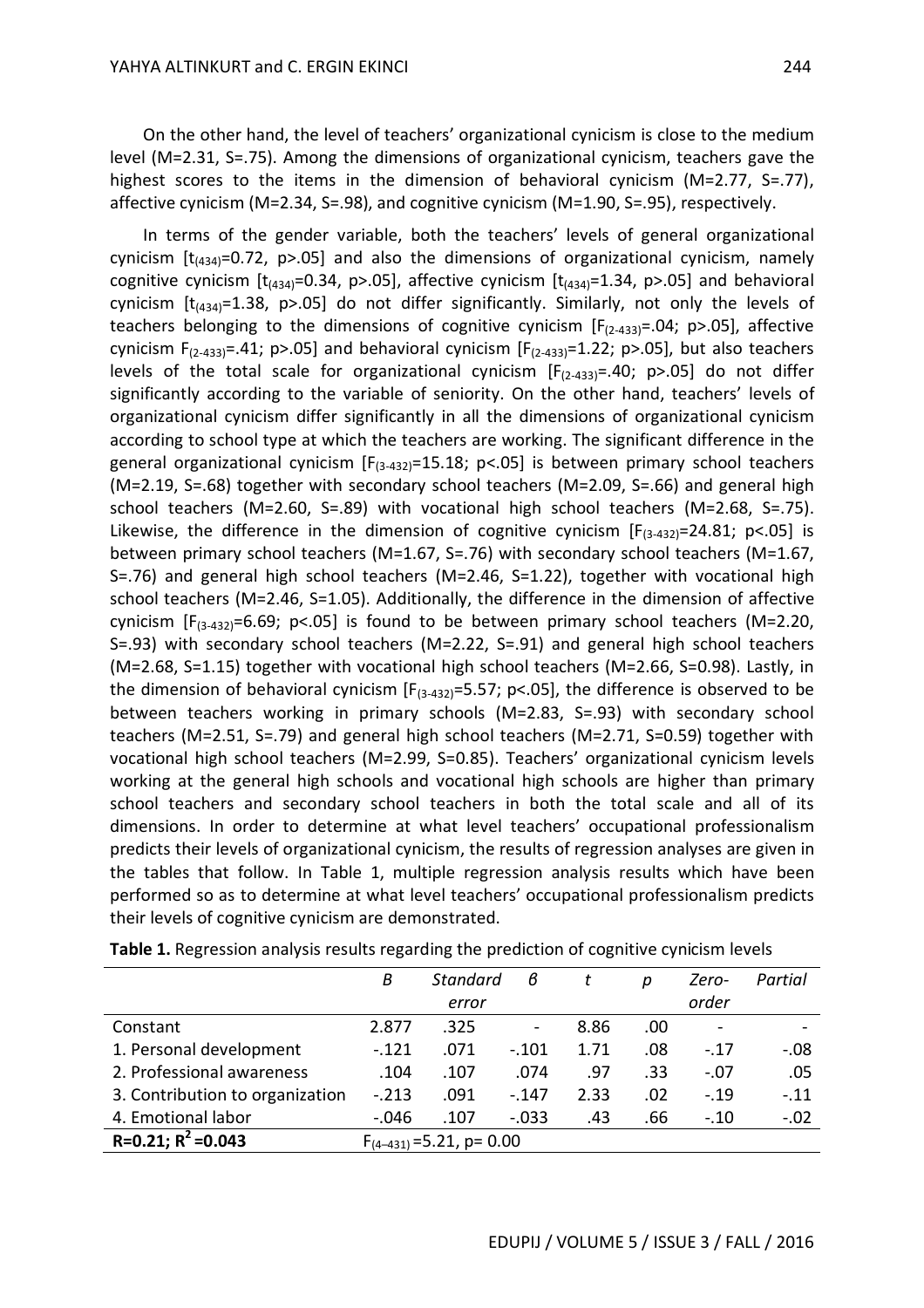On the other hand, the level of teachers' organizational cynicism is close to the medium level (M=2.31, S=.75). Among the dimensions of organizational cynicism, teachers gave the highest scores to the items in the dimension of behavioral cynicism (M=2.77, S=.77), affective cynicism (M=2.34, S=.98), and cognitive cynicism (M=1.90, S=.95), respectively.

In terms of the gender variable, both the teachers' levels of general organizational cynicism  $[t_{(434)}=0.72, p>0.05]$  and also the dimensions of organizational cynicism, namely cognitive cynicism  $[t_{(434)}=0.34, p>0.05]$ , affective cynicism  $[t_{(434)}=1.34, p>0.05]$  and behavioral cynicism  $[t_{(434)}=1.38, p>0.05]$  do not differ significantly. Similarly, not only the levels of teachers belonging to the dimensions of cognitive cynicism  $[F_{(2-433)}=.04; p>.05]$ , affective cynicism  $F_{(2-433)} = .41$ ; p>.05] and behavioral cynicism  $[F_{(2-433)}=1.22$ ; p>.05], but also teachers levels of the total scale for organizational cynicism  $[F<sub>(2-433)</sub> = .40; p>0.05]$  do not differ significantly according to the variable of seniority. On the other hand, teachers' levels of organizational cynicism differ significantly in all the dimensions of organizational cynicism according to school type at which the teachers are working. The significant difference in the general organizational cynicism  $[F_{(3-432)}=15.18; p<.05]$  is between primary school teachers (M=2.19, S=.68) together with secondary school teachers (M=2.09, S=.66) and general high school teachers (M=2.60, S=.89) with vocational high school teachers (M=2.68, S=.75). Likewise, the difference in the dimension of cognitive cynicism  $[F_{(3-432)}=24.81; p<.05]$  is between primary school teachers (M=1.67, S=.76) with secondary school teachers (M=1.67, S=.76) and general high school teachers (M=2.46, S=1.22), together with vocational high school teachers (M=2.46, S=1.05). Additionally, the difference in the dimension of affective cynicism  $[F_{(3-432)}=6.69; p<.05]$  is found to be between primary school teachers (M=2.20, S=.93) with secondary school teachers (M=2.22, S=.91) and general high school teachers (M=2.68, S=1.15) together with vocational high school teachers (M=2.66, S=0.98). Lastly, in the dimension of behavioral cynicism  $[F_{(3-432)}=5.57; p<.05]$ , the difference is observed to be between teachers working in primary schools (M=2.83, S=.93) with secondary school teachers (M=2.51, S=.79) and general high school teachers (M=2.71, S=0.59) together with vocational high school teachers (M=2.99, S=0.85). Teachers' organizational cynicism levels working at the general high schools and vocational high schools are higher than primary school teachers and secondary school teachers in both the total scale and all of its dimensions. In order to determine at what level teachers' occupational professionalism predicts their levels of organizational cynicism, the results of regression analyses are given in the tables that follow. In Table 1, multiple regression analysis results which have been performed so as to determine at what level teachers' occupational professionalism predicts their levels of cognitive cynicism are demonstrated.

|                                 | Β       | <b>Standard</b>                | в                            |      | Ŋ   | Zero-                        | Partial |
|---------------------------------|---------|--------------------------------|------------------------------|------|-----|------------------------------|---------|
|                                 |         | error                          |                              |      |     | order                        |         |
| Constant                        | 2.877   | .325                           | $\qquad \qquad \blacksquare$ | 8.86 | .00 | $\qquad \qquad \blacksquare$ |         |
| 1. Personal development         | $-.121$ | .071                           | $-.101$                      | 1.71 | .08 | $-.17$                       | $-.08$  |
| 2. Professional awareness       | .104    | .107                           | .074                         | .97  | .33 | $-.07$                       | .05     |
| 3. Contribution to organization | $-.213$ | .091                           | $-.147$                      | 2.33 | .02 | $-.19$                       | $-.11$  |
| 4. Emotional labor              | $-.046$ | .107                           | $-0.033$                     | .43  | .66 | $-.10$                       | $-.02$  |
| $R=0.21; R^2=0.043$             |         | $F_{(4-431)} = 5.21$ , p= 0.00 |                              |      |     |                              |         |

**Table 1.** Regression analysis results regarding the prediction of cognitive cynicism levels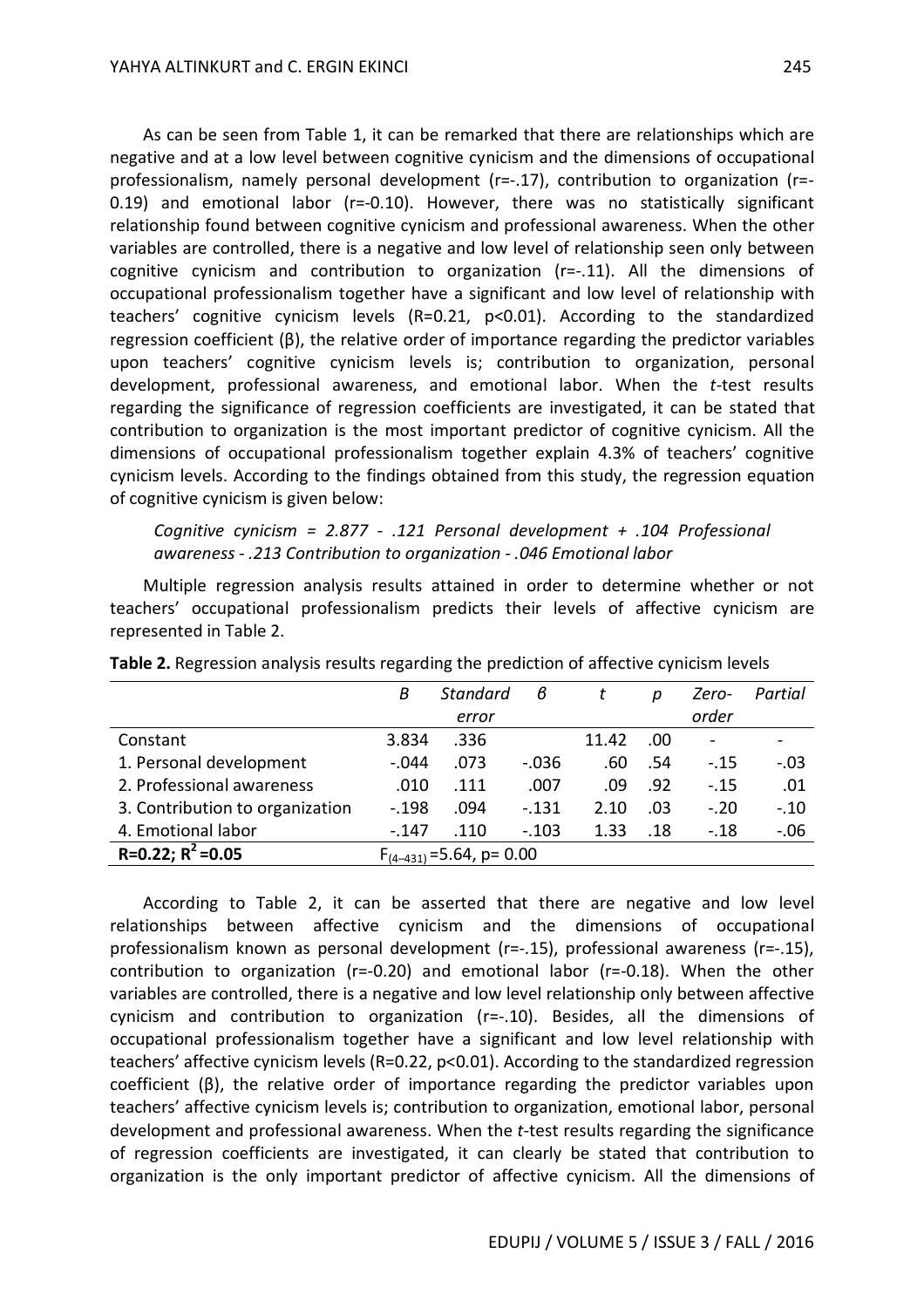As can be seen from Table 1, it can be remarked that there are relationships which are negative and at a low level between cognitive cynicism and the dimensions of occupational professionalism, namely personal development (r=-.17), contribution to organization (r=- 0.19) and emotional labor (r=-0.10). However, there was no statistically significant relationship found between cognitive cynicism and professional awareness. When the other variables are controlled, there is a negative and low level of relationship seen only between cognitive cynicism and contribution to organization (r=-.11). All the dimensions of occupational professionalism together have a significant and low level of relationship with teachers' cognitive cynicism levels (R=0.21, p<0.01). According to the standardized regression coefficient (β), the relative order of importance regarding the predictor variables upon teachers' cognitive cynicism levels is; contribution to organization, personal development, professional awareness, and emotional labor. When the *t*-test results regarding the significance of regression coefficients are investigated, it can be stated that contribution to organization is the most important predictor of cognitive cynicism. All the dimensions of occupational professionalism together explain 4.3% of teachers' cognitive cynicism levels. According to the findings obtained from this study, the regression equation of cognitive cynicism is given below:

## *Cognitive cynicism = 2.877 - .121 Personal development + .104 Professional awareness - .213 Contribution to organization - .046 Emotional labor*

Multiple regression analysis results attained in order to determine whether or not teachers' occupational professionalism predicts their levels of affective cynicism are represented in Table 2.

|                                 | B                              | <b>Standard</b> | в        |       | D   | Zero-  | Partial |
|---------------------------------|--------------------------------|-----------------|----------|-------|-----|--------|---------|
|                                 |                                | error           |          |       |     | order  |         |
| Constant                        | 3.834                          | .336            |          | 11.42 | .00 | $\sim$ |         |
| 1. Personal development         | $-.044$                        | .073            | $-0.036$ | .60   | .54 | $-.15$ | $-.03$  |
| 2. Professional awareness       | .010                           | .111            | .007     | .09   | .92 | $-.15$ | .01     |
| 3. Contribution to organization | $-.198$                        | .094            | $-0.131$ | 2.10  | .03 | $-.20$ | $-.10$  |
| 4. Emotional labor              | $-.147$                        | .110            | $-.103$  | 1.33  | .18 | $-.18$ | $-.06$  |
| $R=0.22; R^2=0.05$              | $F_{(4-431)} = 5.64$ , p= 0.00 |                 |          |       |     |        |         |

**Table 2.** Regression analysis results regarding the prediction of affective cynicism levels

According to Table 2, it can be asserted that there are negative and low level relationships between affective cynicism and the dimensions of occupational professionalism known as personal development (r=-.15), professional awareness (r=-.15), contribution to organization (r=-0.20) and emotional labor (r=-0.18). When the other variables are controlled, there is a negative and low level relationship only between affective cynicism and contribution to organization (r=-.10). Besides, all the dimensions of occupational professionalism together have a significant and low level relationship with teachers' affective cynicism levels (R=0.22, p<0.01). According to the standardized regression coefficient (β), the relative order of importance regarding the predictor variables upon teachers' affective cynicism levels is; contribution to organization, emotional labor, personal development and professional awareness. When the *t*-test results regarding the significance of regression coefficients are investigated, it can clearly be stated that contribution to organization is the only important predictor of affective cynicism. All the dimensions of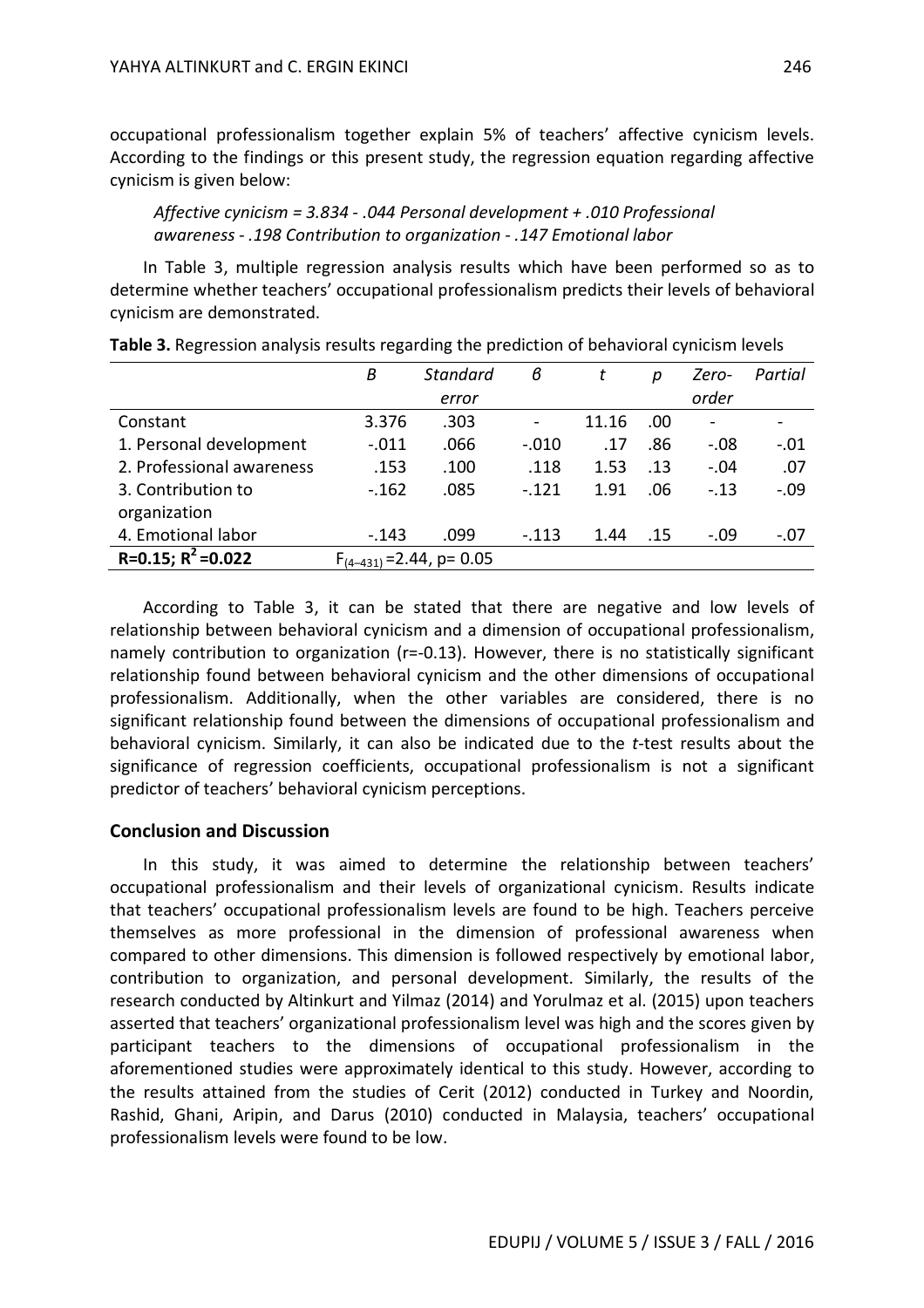occupational professionalism together explain 5% of teachers' affective cynicism levels. According to the findings or this present study, the regression equation regarding affective cynicism is given below:

*Affective cynicism = 3.834 - .044 Personal development + .010 Professional awareness - .198 Contribution to organization - .147 Emotional labor* 

In Table 3, multiple regression analysis results which have been performed so as to determine whether teachers' occupational professionalism predicts their levels of behavioral cynicism are demonstrated.

|                           | Β       | <b>Standard</b>                | в              |       | р   | Zero-                    | Partial |
|---------------------------|---------|--------------------------------|----------------|-------|-----|--------------------------|---------|
|                           |         | error                          |                |       |     | order                    |         |
| Constant                  | 3.376   | .303                           | $\blacksquare$ | 11.16 | .00 | $\overline{\phantom{a}}$ |         |
| 1. Personal development   | $-.011$ | .066                           | $-.010$        | .17   | .86 | $-.08$                   | $-.01$  |
| 2. Professional awareness | .153    | .100                           | .118           | 1.53  | .13 | $-.04$                   | .07     |
| 3. Contribution to        | $-.162$ | .085                           | $-.121$        | 1.91  | .06 | $-.13$                   | $-.09$  |
| organization              |         |                                |                |       |     |                          |         |
| 4. Emotional labor        | $-.143$ | .099                           | $-.113$        | 1.44  | .15 | $-.09$                   | $-.07$  |
| R=0.15; $R^2$ =0.022      |         | $F_{(4-431)} = 2.44$ , p= 0.05 |                |       |     |                          |         |

**Table 3.** Regression analysis results regarding the prediction of behavioral cynicism levels

According to Table 3, it can be stated that there are negative and low levels of relationship between behavioral cynicism and a dimension of occupational professionalism, namely contribution to organization ( $r=-0.13$ ). However, there is no statistically significant relationship found between behavioral cynicism and the other dimensions of occupational professionalism. Additionally, when the other variables are considered, there is no significant relationship found between the dimensions of occupational professionalism and behavioral cynicism. Similarly, it can also be indicated due to the *t*-test results about the significance of regression coefficients, occupational professionalism is not a significant predictor of teachers' behavioral cynicism perceptions.

## **Conclusion and Discussion**

In this study, it was aimed to determine the relationship between teachers' occupational professionalism and their levels of organizational cynicism. Results indicate that teachers' occupational professionalism levels are found to be high. Teachers perceive themselves as more professional in the dimension of professional awareness when compared to other dimensions. This dimension is followed respectively by emotional labor, contribution to organization, and personal development. Similarly, the results of the research conducted by Altinkurt and Yilmaz (2014) and Yorulmaz et al. (2015) upon teachers asserted that teachers' organizational professionalism level was high and the scores given by participant teachers to the dimensions of occupational professionalism in the aforementioned studies were approximately identical to this study. However, according to the results attained from the studies of Cerit (2012) conducted in Turkey and Noordin, Rashid, Ghani, Aripin, and Darus (2010) conducted in Malaysia, teachers' occupational professionalism levels were found to be low.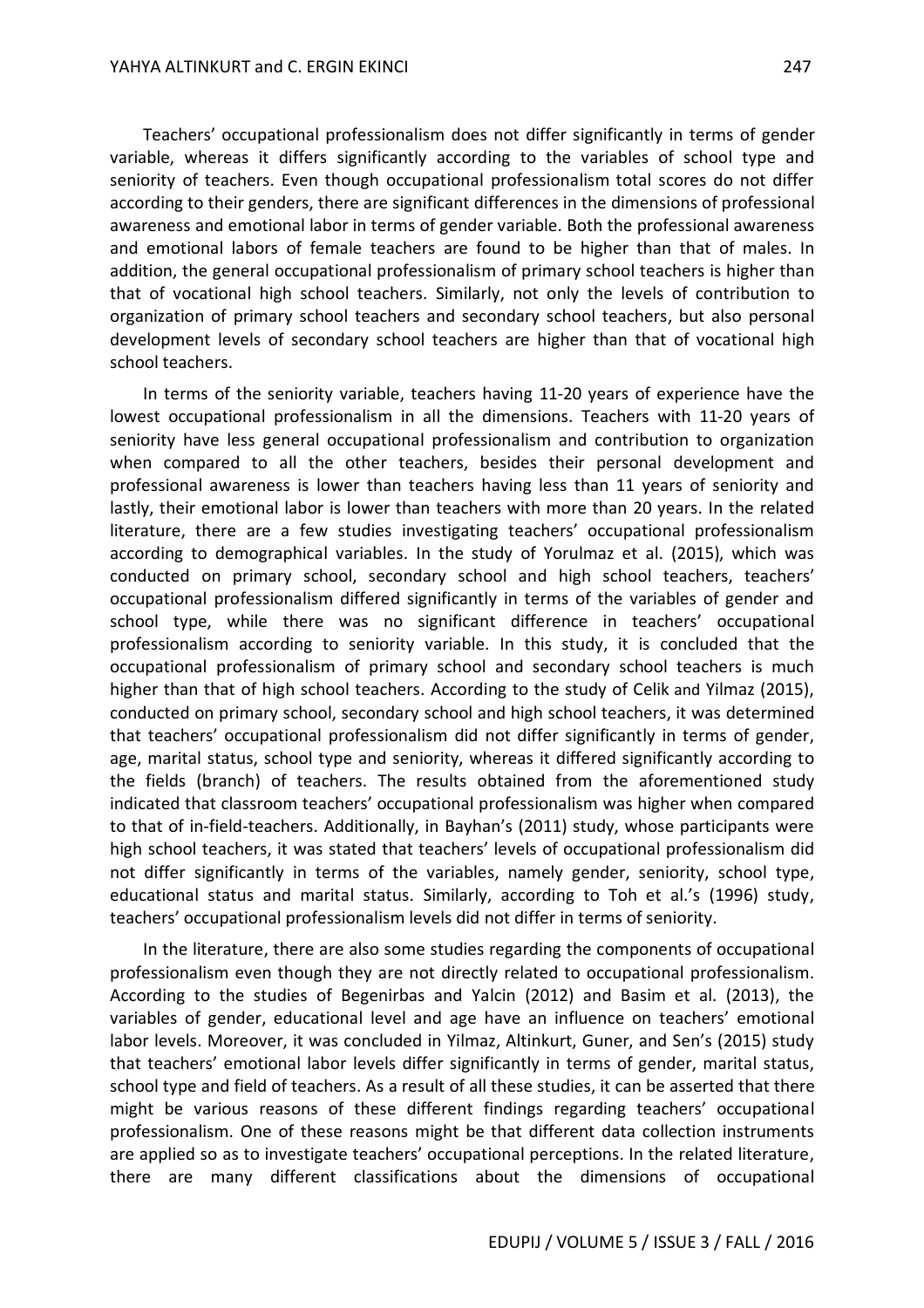Teachers' occupational professionalism does not differ significantly in terms of gender variable, whereas it differs significantly according to the variables of school type and seniority of teachers. Even though occupational professionalism total scores do not differ according to their genders, there are significant differences in the dimensions of professional awareness and emotional labor in terms of gender variable. Both the professional awareness and emotional labors of female teachers are found to be higher than that of males. In addition, the general occupational professionalism of primary school teachers is higher than that of vocational high school teachers. Similarly, not only the levels of contribution to organization of primary school teachers and secondary school teachers, but also personal development levels of secondary school teachers are higher than that of vocational high school teachers.

In terms of the seniority variable, teachers having 11-20 years of experience have the lowest occupational professionalism in all the dimensions. Teachers with 11-20 years of seniority have less general occupational professionalism and contribution to organization when compared to all the other teachers, besides their personal development and professional awareness is lower than teachers having less than 11 years of seniority and lastly, their emotional labor is lower than teachers with more than 20 years. In the related literature, there are a few studies investigating teachers' occupational professionalism according to demographical variables. In the study of Yorulmaz et al. (2015), which was conducted on primary school, secondary school and high school teachers, teachers' occupational professionalism differed significantly in terms of the variables of gender and school type, while there was no significant difference in teachers' occupational professionalism according to seniority variable. In this study, it is concluded that the occupational professionalism of primary school and secondary school teachers is much higher than that of high school teachers. According to the study of Celik and Yilmaz (2015), conducted on primary school, secondary school and high school teachers, it was determined that teachers' occupational professionalism did not differ significantly in terms of gender, age, marital status, school type and seniority, whereas it differed significantly according to the fields (branch) of teachers. The results obtained from the aforementioned study indicated that classroom teachers' occupational professionalism was higher when compared to that of in-field-teachers. Additionally, in Bayhan's (2011) study, whose participants were high school teachers, it was stated that teachers' levels of occupational professionalism did not differ significantly in terms of the variables, namely gender, seniority, school type, educational status and marital status. Similarly, according to Toh et al.'s (1996) study, teachers' occupational professionalism levels did not differ in terms of seniority.

In the literature, there are also some studies regarding the components of occupational professionalism even though they are not directly related to occupational professionalism. According to the studies of Begenirbas and Yalcin (2012) and Basim et al. (2013), the variables of gender, educational level and age have an influence on teachers' emotional labor levels. Moreover, it was concluded in Yilmaz, Altinkurt, Guner, and Sen's (2015) study that teachers' emotional labor levels differ significantly in terms of gender, marital status, school type and field of teachers. As a result of all these studies, it can be asserted that there might be various reasons of these different findings regarding teachers' occupational professionalism. One of these reasons might be that different data collection instruments are applied so as to investigate teachers' occupational perceptions. In the related literature, there are many different classifications about the dimensions of occupational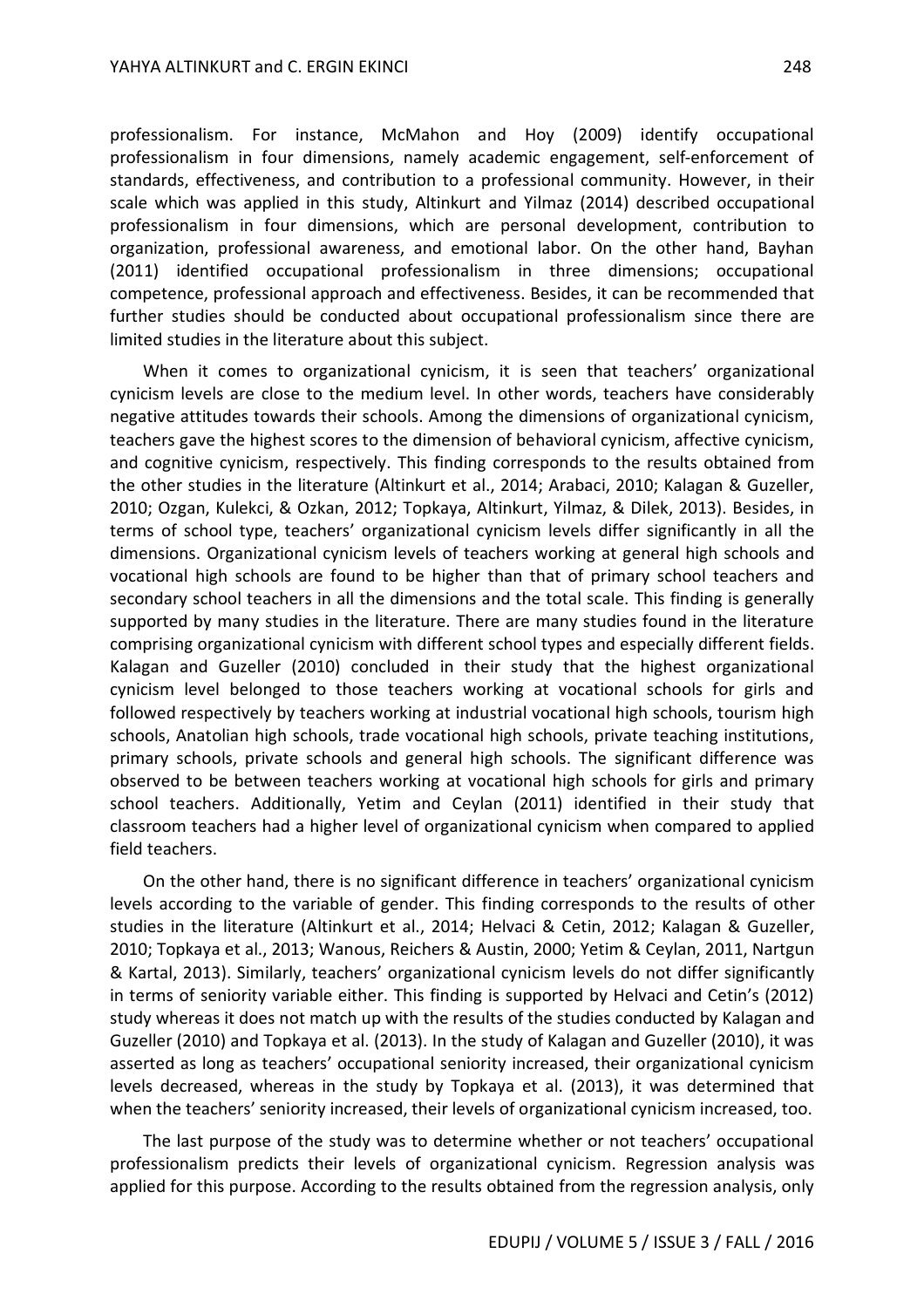professionalism. For instance, McMahon and Hoy (2009) identify occupational professionalism in four dimensions, namely academic engagement, self-enforcement of standards, effectiveness, and contribution to a professional community. However, in their scale which was applied in this study, Altinkurt and Yilmaz (2014) described occupational professionalism in four dimensions, which are personal development, contribution to organization, professional awareness, and emotional labor. On the other hand, Bayhan (2011) identified occupational professionalism in three dimensions; occupational competence, professional approach and effectiveness. Besides, it can be recommended that further studies should be conducted about occupational professionalism since there are limited studies in the literature about this subject.

When it comes to organizational cynicism, it is seen that teachers' organizational cynicism levels are close to the medium level. In other words, teachers have considerably negative attitudes towards their schools. Among the dimensions of organizational cynicism, teachers gave the highest scores to the dimension of behavioral cynicism, affective cynicism, and cognitive cynicism, respectively. This finding corresponds to the results obtained from the other studies in the literature (Altinkurt et al., 2014; Arabaci, 2010; Kalagan & Guzeller, 2010; Ozgan, Kulekci, & Ozkan, 2012; Topkaya, Altinkurt, Yilmaz, & Dilek, 2013). Besides, in terms of school type, teachers' organizational cynicism levels differ significantly in all the dimensions. Organizational cynicism levels of teachers working at general high schools and vocational high schools are found to be higher than that of primary school teachers and secondary school teachers in all the dimensions and the total scale. This finding is generally supported by many studies in the literature. There are many studies found in the literature comprising organizational cynicism with different school types and especially different fields. Kalagan and Guzeller (2010) concluded in their study that the highest organizational cynicism level belonged to those teachers working at vocational schools for girls and followed respectively by teachers working at industrial vocational high schools, tourism high schools, Anatolian high schools, trade vocational high schools, private teaching institutions, primary schools, private schools and general high schools. The significant difference was observed to be between teachers working at vocational high schools for girls and primary school teachers. Additionally, Yetim and Ceylan (2011) identified in their study that classroom teachers had a higher level of organizational cynicism when compared to applied field teachers.

On the other hand, there is no significant difference in teachers' organizational cynicism levels according to the variable of gender. This finding corresponds to the results of other studies in the literature (Altinkurt et al., 2014; Helvaci & Cetin, 2012; Kalagan & Guzeller, 2010; Topkaya et al., 2013; Wanous, Reichers & Austin, 2000; Yetim & Ceylan, 2011, Nartgun & Kartal, 2013). Similarly, teachers' organizational cynicism levels do not differ significantly in terms of seniority variable either. This finding is supported by Helvaci and Cetin's (2012) study whereas it does not match up with the results of the studies conducted by Kalagan and Guzeller (2010) and Topkaya et al. (2013). In the study of Kalagan and Guzeller (2010), it was asserted as long as teachers' occupational seniority increased, their organizational cynicism levels decreased, whereas in the study by Topkaya et al. (2013), it was determined that when the teachers' seniority increased, their levels of organizational cynicism increased, too.

The last purpose of the study was to determine whether or not teachers' occupational professionalism predicts their levels of organizational cynicism. Regression analysis was applied for this purpose. According to the results obtained from the regression analysis, only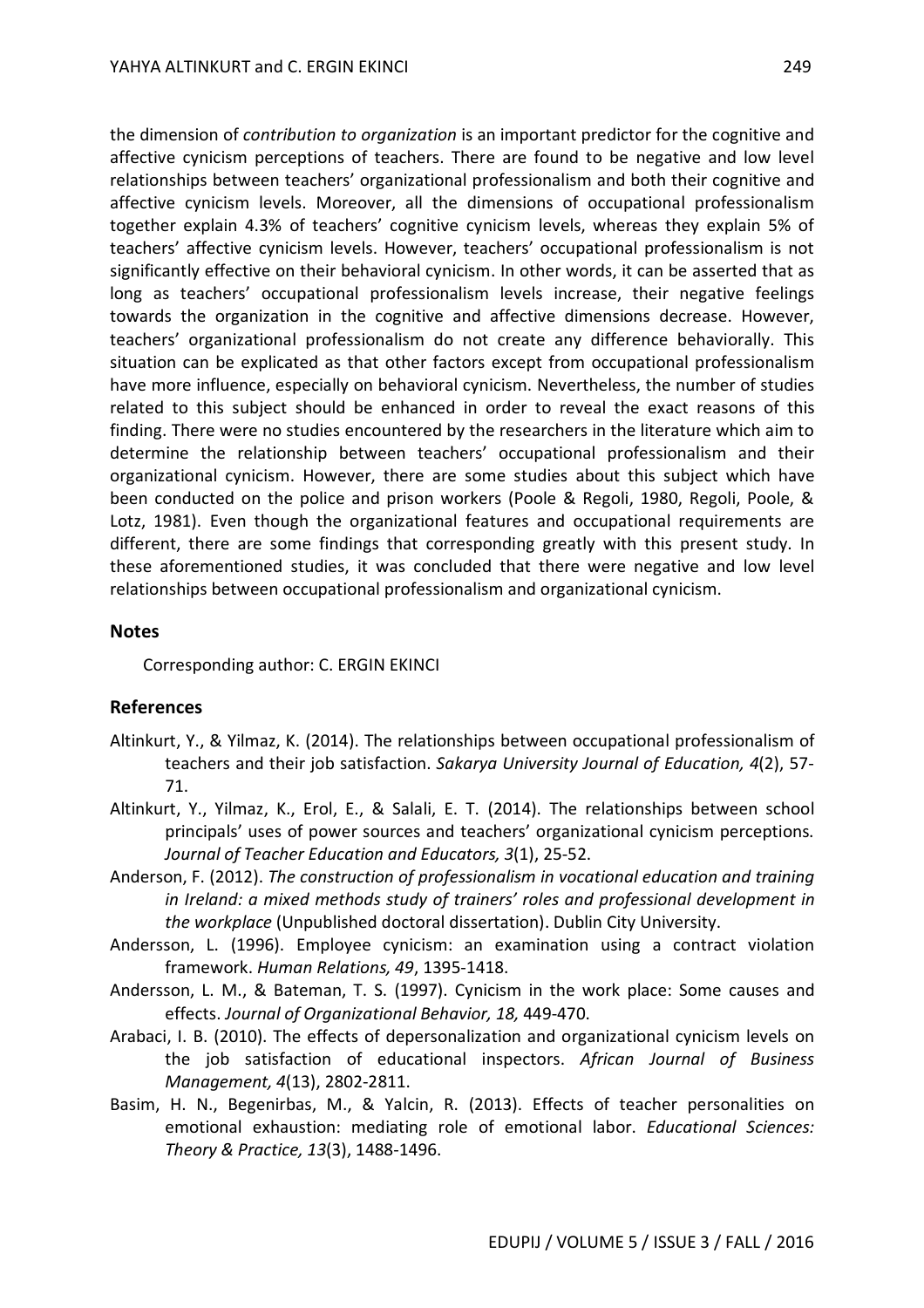the dimension of *contribution to organization* is an important predictor for the cognitive and affective cynicism perceptions of teachers. There are found to be negative and low level relationships between teachers' organizational professionalism and both their cognitive and affective cynicism levels. Moreover, all the dimensions of occupational professionalism together explain 4.3% of teachers' cognitive cynicism levels, whereas they explain 5% of teachers' affective cynicism levels. However, teachers' occupational professionalism is not significantly effective on their behavioral cynicism. In other words, it can be asserted that as long as teachers' occupational professionalism levels increase, their negative feelings towards the organization in the cognitive and affective dimensions decrease. However, teachers' organizational professionalism do not create any difference behaviorally. This situation can be explicated as that other factors except from occupational professionalism have more influence, especially on behavioral cynicism. Nevertheless, the number of studies related to this subject should be enhanced in order to reveal the exact reasons of this finding. There were no studies encountered by the researchers in the literature which aim to determine the relationship between teachers' occupational professionalism and their organizational cynicism. However, there are some studies about this subject which have been conducted on the police and prison workers (Poole & Regoli, 1980, Regoli, Poole, & Lotz, 1981). Even though the organizational features and occupational requirements are different, there are some findings that corresponding greatly with this present study. In these aforementioned studies, it was concluded that there were negative and low level relationships between occupational professionalism and organizational cynicism.

### **Notes**

Corresponding author: C. ERGIN EKINCI

## **References**

- Altinkurt, Y., & Yilmaz, K. (2014). The relationships between occupational professionalism of teachers and their job satisfaction. *Sakarya University Journal of Education, 4*(2), 57- 71.
- Altinkurt, Y., Yilmaz, K., Erol, E., & Salali, E. T. (2014). The relationships between school principals' uses of power sources and teachers' organizational cynicism perceptions. *Journal of Teacher Education and Educators, 3*(1), 25-52.
- Anderson, F. (2012). *The construction of professionalism in vocational education and training in Ireland: a mixed methods study of trainers' roles and professional development in the workplace* (Unpublished doctoral dissertation). Dublin City University.
- Andersson, L. (1996). Employee cynicism: an examination using a contract violation framework. *Human Relations, 49*, 1395-1418.
- Andersson, L. M., & Bateman, T. S. (1997). Cynicism in the work place: Some causes and effects. *Journal of Organizational Behavior, 18,* 449-470.
- Arabaci, I. B. (2010). The effects of depersonalization and organizational cynicism levels on the job satisfaction of educational inspectors. *African Journal of Business Management, 4*(13), 2802-2811.
- Basim, H. N., Begenirbas, M., & Yalcin, R. (2013). Effects of teacher personalities on emotional exhaustion: mediating role of emotional labor. *Educational Sciences: Theory & Practice, 13*(3), 1488-1496.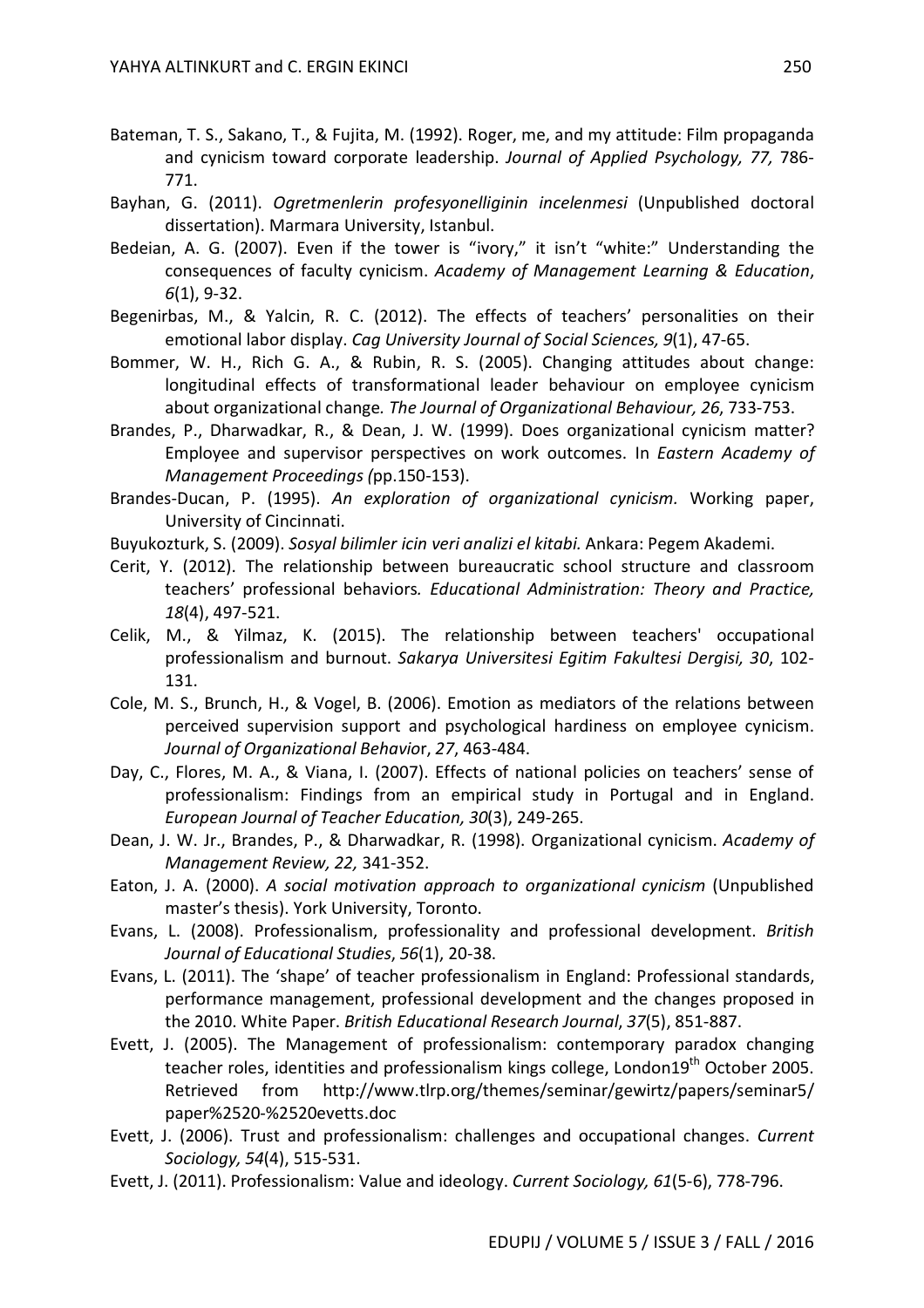- Bateman, T. S., Sakano, T., & Fujita, M. (1992). Roger, me, and my attitude: Film propaganda and cynicism toward corporate leadership. *Journal of Applied Psychology, 77,* 786- 771.
- Bayhan, G. (2011). *Ogretmenlerin profesyonelliginin incelenmesi* (Unpublished doctoral dissertation). Marmara University, Istanbul.
- Bedeian, A. G. (2007). Even if the tower is "ivory," it isn't "white:" Understanding the consequences of faculty cynicism. *Academy of Management Learning & Education*, *6*(1), 9-32.
- Begenirbas, M., & Yalcin, R. C. (2012). The effects of teachers' personalities on their emotional labor display. *Cag University Journal of Social Sciences, 9*(1), 47-65.
- Bommer, W. H., Rich G. A., & Rubin, R. S. (2005). Changing attitudes about change: longitudinal effects of transformational leader behaviour on employee cynicism about organizational change*. The Journal of Organizational Behaviour, 26*, 733-753.
- Brandes, P., Dharwadkar, R., & Dean, J. W. (1999). Does organizational cynicism matter? Employee and supervisor perspectives on work outcomes. In *Eastern Academy of Management Proceedings (*pp.150-153).
- Brandes-Ducan, P. (1995). *An exploration of organizational cynicism.* Working paper, University of Cincinnati.
- Buyukozturk, S. (2009). *Sosyal bilimler icin veri analizi el kitabi.* Ankara: Pegem Akademi.
- Cerit, Y. (2012). The relationship between bureaucratic school structure and classroom teachers' professional behaviors*. Educational Administration: Theory and Practice, 18*(4), 497-521.
- Celik, M., & Yilmaz, K. (2015). The relationship between teachers' occupational professionalism and burnout. *Sakarya Universitesi Egitim Fakultesi Dergisi, 30*, 102- 131.
- Cole, M. S., Brunch, H., & Vogel, B. (2006). Emotion as mediators of the relations between perceived supervision support and psychological hardiness on employee cynicism. *Journal of Organizational Behavio*r, *27*, 463-484.
- Day, C., Flores, M. A., & Viana, I. (2007). Effects of national policies on teachers' sense of professionalism: Findings from an empirical study in Portugal and in England. *European Journal of Teacher Education, 30*(3), 249-265.
- Dean, J. W. Jr., Brandes, P., & Dharwadkar, R. (1998). Organizational cynicism. *Academy of Management Review, 22,* 341-352.
- Eaton, J. A. (2000). *A social motivation approach to organizational cynicism* (Unpublished master's thesis). York University, Toronto.
- Evans, L. (2008). Professionalism, professionality and professional development. *British Journal of Educational Studies*, *56*(1), 20-38.
- Evans, L. (2011). The 'shape' of teacher professionalism in England: Professional standards, performance management, professional development and the changes proposed in the 2010. White Paper. *British Educational Research Journal*, *37*(5), 851-887.
- Evett, J. (2005). The Management of professionalism: contemporary paradox changing teacher roles, identities and professionalism kings college, London19<sup>th</sup> October 2005. Retrieved from http://www.tlrp.org/themes/seminar/gewirtz/papers/seminar5/ paper%2520-%2520evetts.doc
- Evett, J. (2006). Trust and professionalism: challenges and occupational changes. *Current Sociology, 54*(4), 515-531.
- Evett, J. (2011). Professionalism: Value and ideology. *Current Sociology, 61*(5-6), 778-796.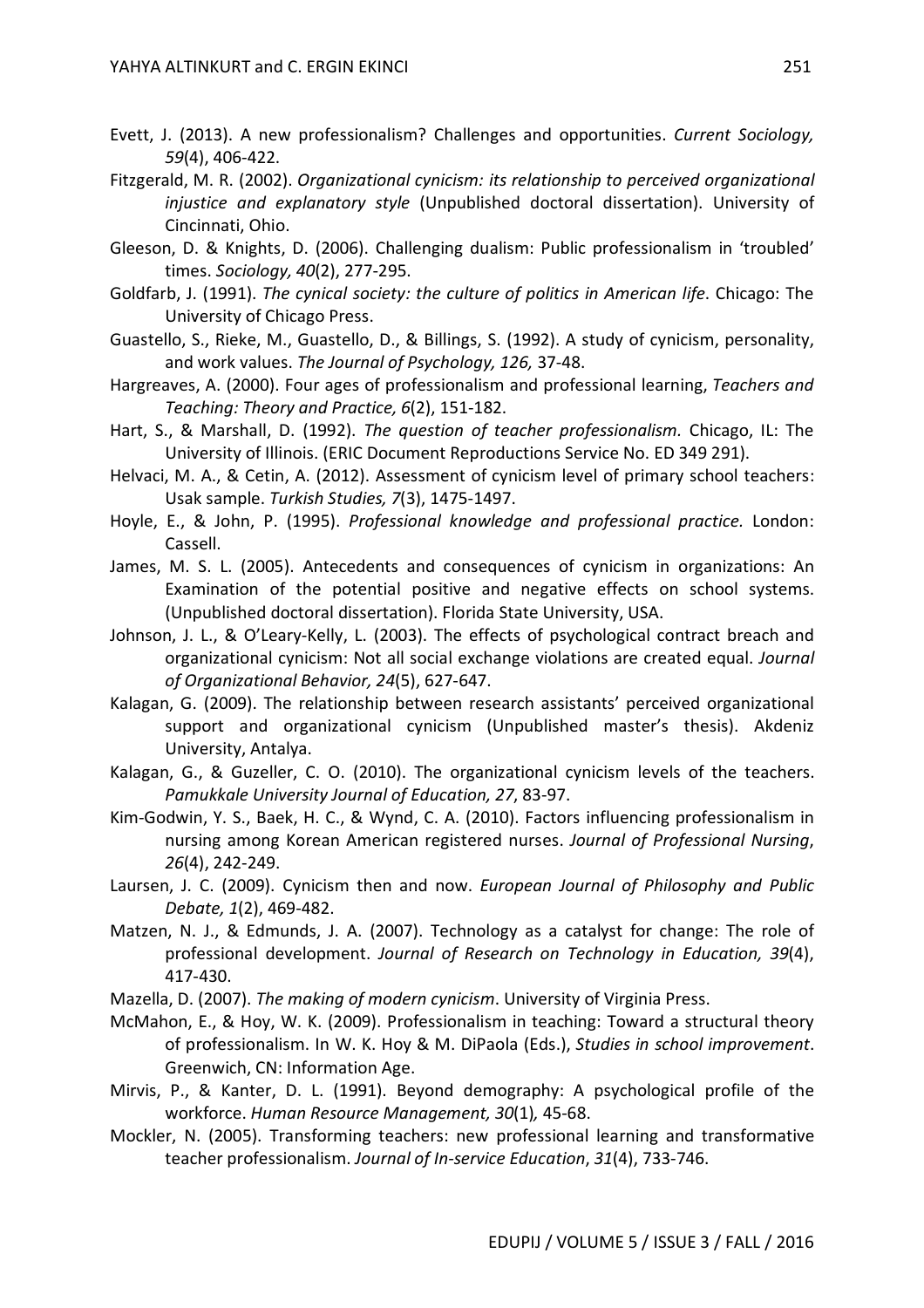- Evett, J. (2013). A new professionalism? Challenges and opportunities. *Current Sociology, 59*(4), 406-422.
- Fitzgerald, M. R. (2002). *Organizational cynicism: its relationship to perceived organizational injustice and explanatory style* (Unpublished doctoral dissertation). University of Cincinnati, Ohio.
- Gleeson, D. & Knights, D. (2006). Challenging dualism: Public professionalism in 'troubled' times. *Sociology, 40*(2), 277-295.
- Goldfarb, J. (1991). *The cynical society: the culture of politics in American life*. Chicago: The University of Chicago Press.
- Guastello, S., Rieke, M., Guastello, D., & Billings, S. (1992). A study of cynicism, personality, and work values. *The Journal of Psychology, 126,* 37-48.
- Hargreaves, A. (2000). Four ages of professionalism and professional learning, *Teachers and Teaching: Theory and Practice, 6*(2), 151-182.
- Hart, S., & Marshall, D. (1992). *The question of teacher professionalism.* Chicago, IL: The University of Illinois. (ERIC Document Reproductions Service No. ED 349 291).
- Helvaci, M. A., & Cetin, A. (2012). Assessment of cynicism level of primary school teachers: Usak sample. *Turkish Studies, 7*(3), 1475-1497.
- Hoyle, E., & John, P. (1995). *Professional knowledge and professional practice.* London: Cassell.
- James, M. S. L. (2005). Antecedents and consequences of cynicism in organizations: An Examination of the potential positive and negative effects on school systems. (Unpublished doctoral dissertation). Florida State University, USA.
- Johnson, J. L., & O'Leary-Kelly, L. (2003). The effects of psychological contract breach and organizational cynicism: Not all social exchange violations are created equal. *Journal of Organizational Behavior, 24*(5), 627-647.
- Kalagan, G. (2009). The relationship between research assistants' perceived organizational support and organizational cynicism (Unpublished master's thesis). Akdeniz University, Antalya.
- Kalagan, G., & Guzeller, C. O. (2010). The organizational cynicism levels of the teachers. *Pamukkale University Journal of Education, 27*, 83-97.
- Kim-Godwin, Y. S., Baek, H. C., & Wynd, C. A. (2010). Factors influencing professionalism in nursing among Korean American registered nurses. *Journal of Professional Nursing*, *26*(4), 242-249.
- Laursen, J. C. (2009). Cynicism then and now. *European Journal of Philosophy and Public Debate, 1*(2), 469-482.
- Matzen, N. J., & Edmunds, J. A. (2007). Technology as a catalyst for change: The role of professional development. *Journal of Research on Technology in Education, 39*(4), 417-430.
- Mazella, D. (2007). *The making of modern cynicism*. University of Virginia Press.
- McMahon, E., & Hoy, W. K. (2009). Professionalism in teaching: Toward a structural theory of professionalism. In W. K. Hoy & M. DiPaola (Eds.), *Studies in school improvement*. Greenwich, CN: Information Age.
- Mirvis, P., & Kanter, D. L. (1991). Beyond demography: A psychological profile of the workforce. *Human Resource Management, 30*(1)*,* 45-68.
- Mockler, N. (2005). Transforming teachers: new professional learning and transformative teacher professionalism. *Journal of In-service Education*, *31*(4), 733-746.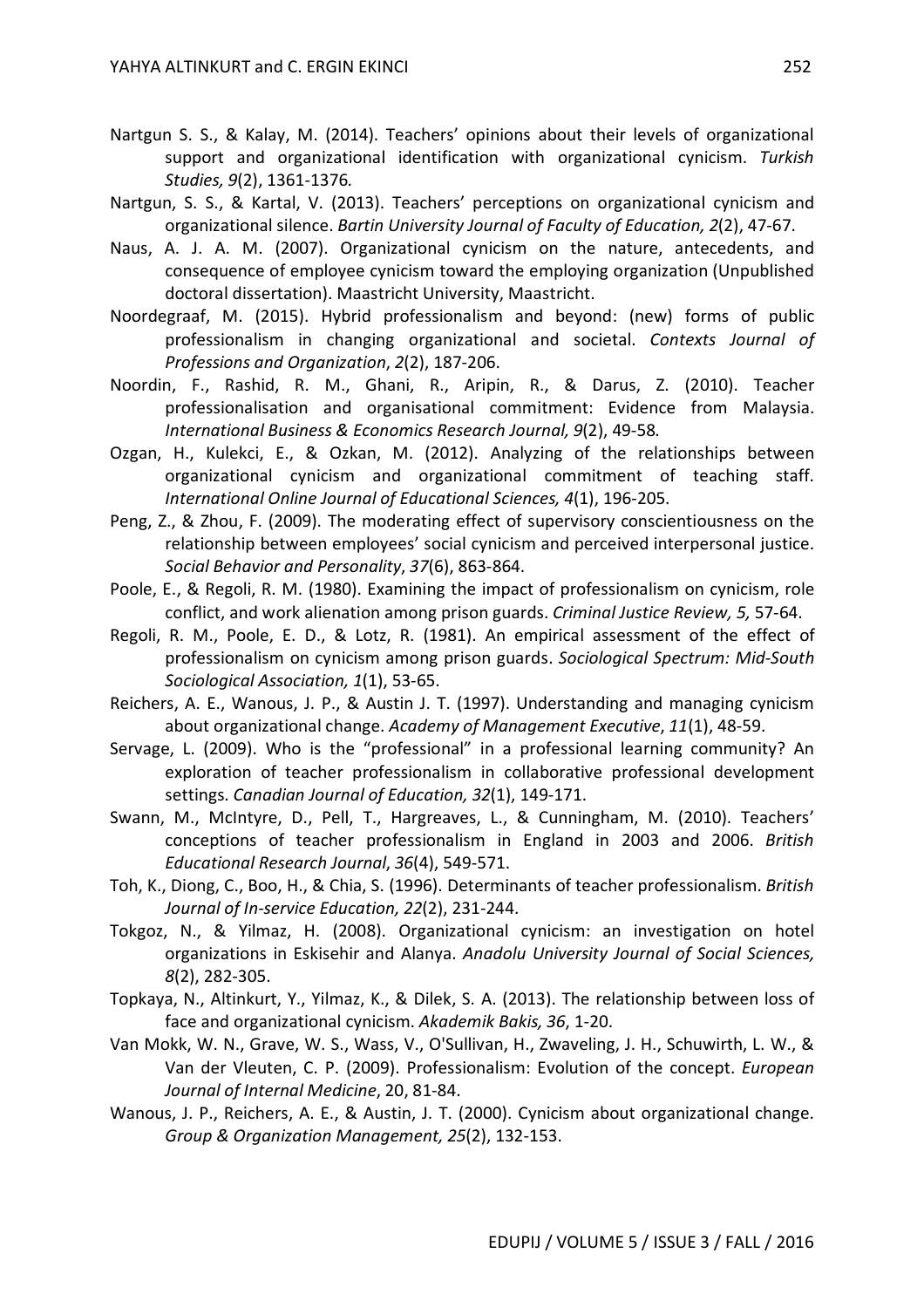- Nartgun S. S., & Kalay, M. (2014). Teachers' opinions about their levels of organizational support and organizational identification with organizational cynicism. *Turkish Studies, 9*(2), 1361-1376*.*
- Nartgun, S. S., & Kartal, V. (2013). Teachers' perceptions on organizational cynicism and organizational silence. *Bartin University Journal of Faculty of Education, 2*(2), 47-67.
- Naus, A. J. A. M. (2007). Organizational cynicism on the nature, antecedents, and consequence of employee cynicism toward the employing organization (Unpublished doctoral dissertation). Maastricht University, Maastricht.
- Noordegraaf, M. (2015). Hybrid professionalism and beyond: (new) forms of public professionalism in changing organizational and societal. *Contexts Journal of Professions and Organization*, *2*(2), 187-206.
- Noordin, F., Rashid, R. M., Ghani, R., Aripin, R., & Darus, Z. (2010). Teacher professionalisation and organisational commitment: Evidence from Malaysia. *International Business & Economics Research Journal, 9*(2), 49-58*.*
- Ozgan, H., Kulekci, E., & Ozkan, M. (2012). Analyzing of the relationships between organizational cynicism and organizational commitment of teaching staff. *International Online Journal of Educational Sciences, 4*(1), 196-205.
- Peng, Z., & Zhou, F. (2009). The moderating effect of supervisory conscientiousness on the relationship between employees' social cynicism and perceived interpersonal justice. *Social Behavior and Personality*, *37*(6), 863-864.
- Poole, E., & Regoli, R. M. (1980). Examining the impact of professionalism on cynicism, role conflict, and work alienation among prison guards. *Criminal Justice Review, 5,* 57-64.
- Regoli, R. M., Poole, E. D., & Lotz, R. (1981). An empirical assessment of the effect of professionalism on cynicism among prison guards. *Sociological Spectrum: Mid-South Sociological Association, 1*(1), 53-65.
- Reichers, A. E., Wanous, J. P., & Austin J. T. (1997). Understanding and managing cynicism about organizational change. *Academy of Management Executive*, *11*(1), 48-59.
- Servage, L. (2009). Who is the "professional" in a professional learning community? An exploration of teacher professionalism in collaborative professional development settings. *Canadian Journal of Education, 32*(1), 149-171.
- Swann, M., McIntyre, D., Pell, T., Hargreaves, L., & Cunningham, M. (2010). Teachers' conceptions of teacher professionalism in England in 2003 and 2006. *British Educational Research Journal*, *36*(4), 549-571.
- Toh, K., Diong, C., Boo, H., & Chia, S. (1996). Determinants of teacher professionalism. *British Journal of In-service Education, 22*(2), 231-244.
- Tokgoz, N., & Yilmaz, H. (2008). Organizational cynicism: an investigation on hotel organizations in Eskisehir and Alanya. *Anadolu University Journal of Social Sciences, 8*(2), 282-305.
- Topkaya, N., Altinkurt, Y., Yilmaz, K., & Dilek, S. A. (2013). The relationship between loss of face and organizational cynicism. *Akademik Bakis, 36*, 1-20.
- Van Mokk, W. N., Grave, W. S., Wass, V., O'Sullivan, H., Zwaveling, J. H., Schuwirth, L. W., & Van der Vleuten, C. P. (2009). Professionalism: Evolution of the concept. *European Journal of Internal Medicine*, 20, 81-84.
- Wanous, J. P., Reichers, A. E., & Austin, J. T. (2000). Cynicism about organizational change. *Group & Organization Management, 25*(2), 132-153.